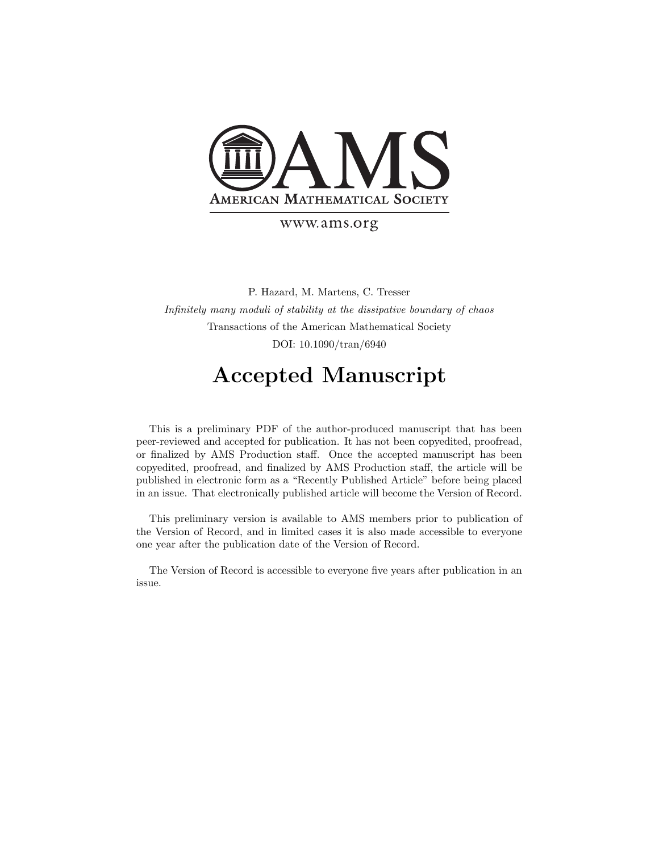

#### www.ams.org

P. Hazard, M. Martens, C. Tresser Infinitely many moduli of stability at the dissipative boundary of chaos Transactions of the American Mathematical Society DOI: 10.1090/tran/6940

## Accepted Manuscript

This is a preliminary PDF of the author-produced manuscript that has been peer-reviewed and accepted for publication. It has not been copyedited, proofread, or finalized by AMS Production staff. Once the accepted manuscript has been copyedited, proofread, and finalized by AMS Production staff, the article will be published in electronic form as a "Recently Published Article" before being placed in an issue. That electronically published article will become the Version of Record.

This preliminary version is available to AMS members prior to publication of the Version of Record, and in limited cases it is also made accessible to everyone one year after the publication date of the Version of Record.

The Version of Record is accessible to everyone five years after publication in an issue.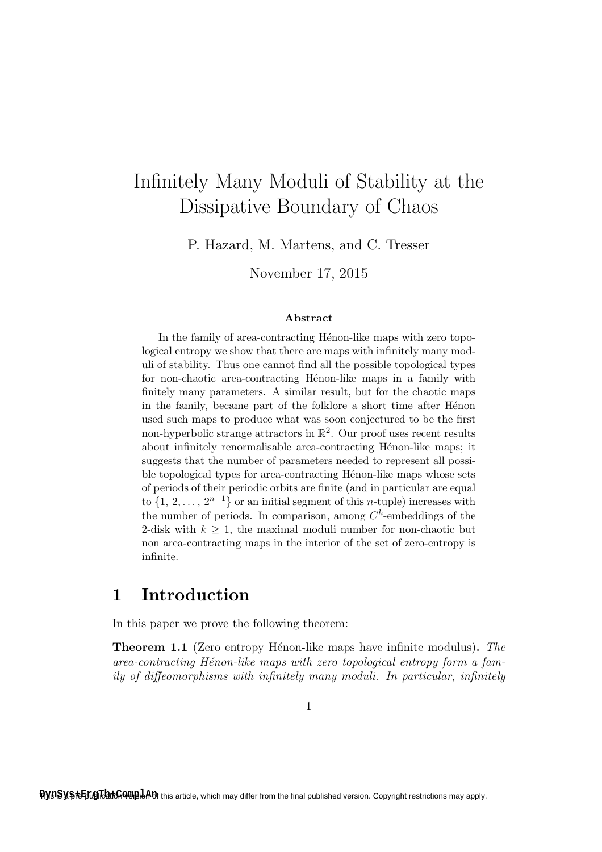# Infinitely Many Moduli of Stability at the Dissipative Boundary of Chaos

P. Hazard, M. Martens, and C. Tresser

November 17, 2015

#### Abstract

In the family of area-contracting Hénon-like maps with zero topological entropy we show that there are maps with infinitely many moduli of stability. Thus one cannot find all the possible topological types for non-chaotic area-contracting Hénon-like maps in a family with finitely many parameters. A similar result, but for the chaotic maps in the family, became part of the folklore a short time after Henon used such maps to produce what was soon conjectured to be the first non-hyperbolic strange attractors in  $\mathbb{R}^2$ . Our proof uses recent results about infinitely renormalisable area-contracting Hénon-like maps; it suggests that the number of parameters needed to represent all possible topological types for area-contracting Hénon-like maps whose sets of periods of their periodic orbits are finite (and in particular are equal to  $\{1, 2, \ldots, 2^{n-1}\}$  or an initial segment of this *n*-tuple) increases with the number of periods. In comparison, among  $C<sup>k</sup>$ -embeddings of the 2-disk with  $k \geq 1$ , the maximal moduli number for non-chaotic but non area-contracting maps in the interior of the set of zero-entropy is infinite.

### 1 Introduction

In this paper we prove the following theorem:

**Theorem 1.1** (Zero entropy Hénon-like maps have infinite modulus). The  $area-contracting Hénon-like maps with zero topological entropy form a fam$ ily of diffeomorphisms with infinitely many moduli. In particular, infinitely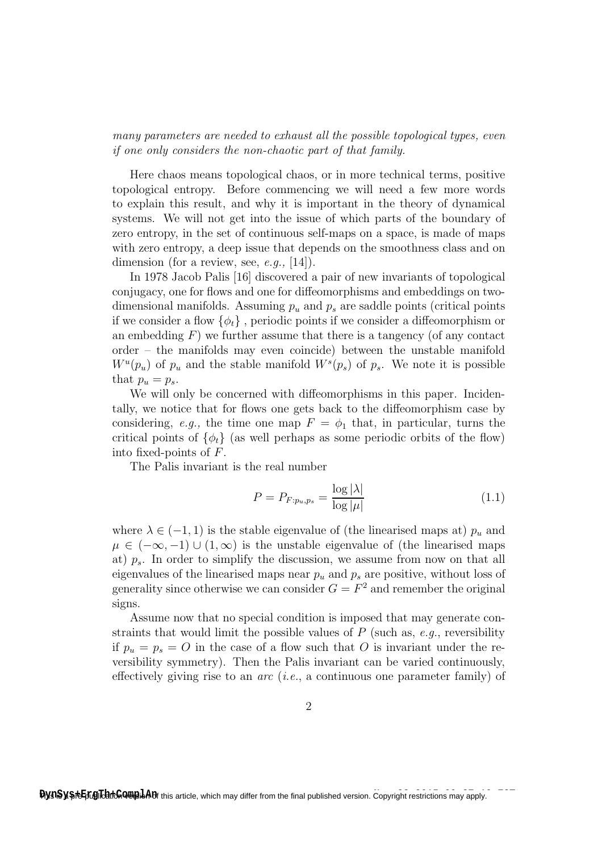many parameters are needed to exhaust all the possible topological types, even if one only considers the non-chaotic part of that family.

Here chaos means topological chaos, or in more technical terms, positive topological entropy. Before commencing we will need a few more words to explain this result, and why it is important in the theory of dynamical systems. We will not get into the issue of which parts of the boundary of zero entropy, in the set of continuous self-maps on a space, is made of maps with zero entropy, a deep issue that depends on the smoothness class and on dimension (for a review, see,  $e.g., [14]$ ).

In 1978 Jacob Palis [16] discovered a pair of new invariants of topological conjugacy, one for flows and one for diffeomorphisms and embeddings on twodimensional manifolds. Assuming  $p_u$  and  $p_s$  are saddle points (critical points if we consider a flow  $\{\phi_t\}$ , periodic points if we consider a diffeomorphism or an embedding  $F$ ) we further assume that there is a tangency (of any contact order – the manifolds may even coincide) between the unstable manifold  $W^u(p_u)$  of  $p_u$  and the stable manifold  $W^s(p_s)$  of  $p_s$ . We note it is possible that  $p_u = p_s$ .

We will only be concerned with diffeomorphisms in this paper. Incidentally, we notice that for flows one gets back to the diffeomorphism case by considering, e.g., the time one map  $F = \phi_1$  that, in particular, turns the critical points of  $\{\phi_t\}$  (as well perhaps as some periodic orbits of the flow) into fixed-points of F.

The Palis invariant is the real number

$$
P = P_{F:p_u, p_s} = \frac{\log |\lambda|}{\log |\mu|} \tag{1.1}
$$

where  $\lambda \in (-1, 1)$  is the stable eigenvalue of (the linearised maps at)  $p_u$  and  $\mu \in (-\infty, -1) \cup (1, \infty)$  is the unstable eigenvalue of (the linearised maps at)  $p_s$ . In order to simplify the discussion, we assume from now on that all eigenvalues of the linearised maps near  $p_u$  and  $p_s$  are positive, without loss of generality since otherwise we can consider  $G = F^2$  and remember the original signs.

Assume now that no special condition is imposed that may generate constraints that would limit the possible values of  $P$  (such as, e.g., reversibility if  $p_u = p_s = O$  in the case of a flow such that O is invariant under the reversibility symmetry). Then the Palis invariant can be varied continuously, effectively giving rise to an *arc* (*i.e.*, a continuous one parameter family) of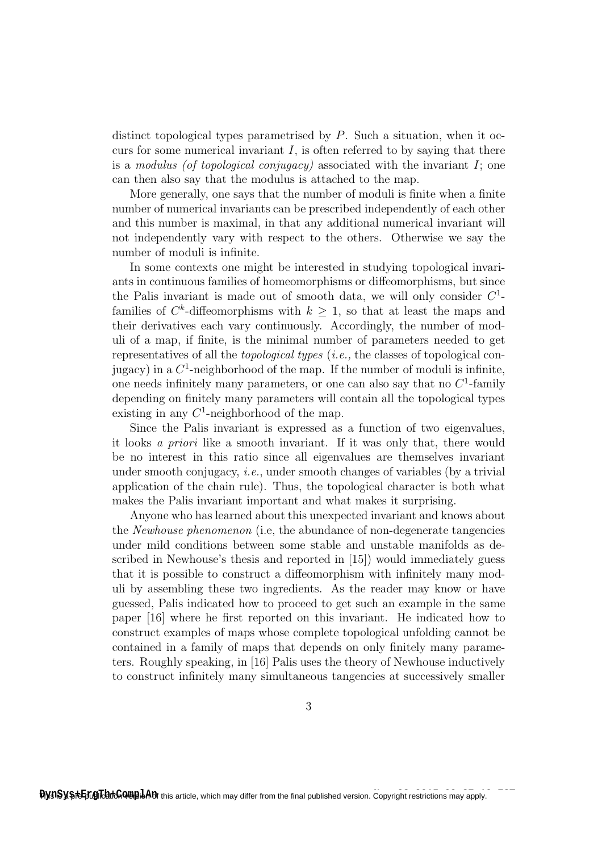distinct topological types parametrised by P. Such a situation, when it occurs for some numerical invariant  $I$ , is often referred to by saying that there is a modulus (of topological conjugacy) associated with the invariant  $I_i$ ; one can then also say that the modulus is attached to the map.

More generally, one says that the number of moduli is finite when a finite number of numerical invariants can be prescribed independently of each other and this number is maximal, in that any additional numerical invariant will not independently vary with respect to the others. Otherwise we say the number of moduli is infinite.

In some contexts one might be interested in studying topological invariants in continuous families of homeomorphisms or diffeomorphisms, but since the Palis invariant is made out of smooth data, we will only consider  $C<sup>1</sup>$ families of  $C^k$ -diffeomorphisms with  $k \geq 1$ , so that at least the maps and their derivatives each vary continuously. Accordingly, the number of moduli of a map, if finite, is the minimal number of parameters needed to get representatives of all the topological types (i.e., the classes of topological conjugacy) in a  $C^1$ -neighborhood of the map. If the number of moduli is infinite, one needs infinitely many parameters, or one can also say that no  $C<sup>1</sup>$ -family depending on finitely many parameters will contain all the topological types existing in any  $C^1$ -neighborhood of the map.

Since the Palis invariant is expressed as a function of two eigenvalues, it looks a priori like a smooth invariant. If it was only that, there would be no interest in this ratio since all eigenvalues are themselves invariant under smooth conjugacy, i.e., under smooth changes of variables (by a trivial application of the chain rule). Thus, the topological character is both what makes the Palis invariant important and what makes it surprising.

Anyone who has learned about this unexpected invariant and knows about the Newhouse phenomenon (i.e, the abundance of non-degenerate tangencies under mild conditions between some stable and unstable manifolds as described in Newhouse's thesis and reported in [15]) would immediately guess that it is possible to construct a diffeomorphism with infinitely many moduli by assembling these two ingredients. As the reader may know or have guessed, Palis indicated how to proceed to get such an example in the same paper [16] where he first reported on this invariant. He indicated how to construct examples of maps whose complete topological unfolding cannot be contained in a family of maps that depends on only finitely many parameters. Roughly speaking, in [16] Palis uses the theory of Newhouse inductively to construct infinitely many simultaneous tangencies at successively smaller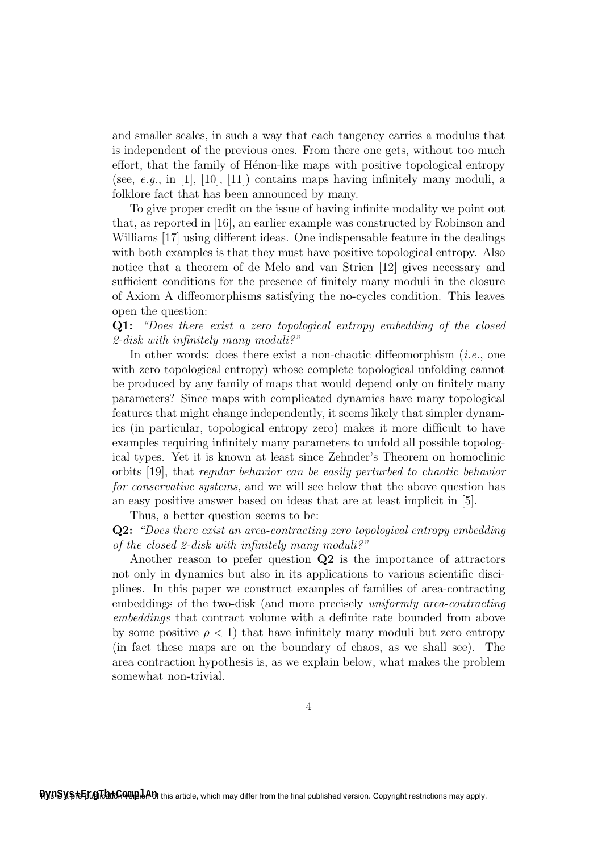and smaller scales, in such a way that each tangency carries a modulus that is independent of the previous ones. From there one gets, without too much effort, that the family of Henon-like maps with positive topological entropy (see, e.g., in [1], [10], [11]) contains maps having infinitely many moduli, a folklore fact that has been announced by many.

To give proper credit on the issue of having infinite modality we point out that, as reported in [16], an earlier example was constructed by Robinson and Williams [17] using different ideas. One indispensable feature in the dealings with both examples is that they must have positive topological entropy. Also notice that a theorem of de Melo and van Strien [12] gives necessary and sufficient conditions for the presence of finitely many moduli in the closure of Axiom A diffeomorphisms satisfying the no-cycles condition. This leaves open the question:

Q1: "Does there exist a zero topological entropy embedding of the closed 2-disk with infinitely many moduli?"

In other words: does there exist a non-chaotic diffeomorphism  $(i.e.,$  one with zero topological entropy) whose complete topological unfolding cannot be produced by any family of maps that would depend only on finitely many parameters? Since maps with complicated dynamics have many topological features that might change independently, it seems likely that simpler dynamics (in particular, topological entropy zero) makes it more difficult to have examples requiring infinitely many parameters to unfold all possible topological types. Yet it is known at least since Zehnder's Theorem on homoclinic orbits [19], that regular behavior can be easily perturbed to chaotic behavior for conservative systems, and we will see below that the above question has an easy positive answer based on ideas that are at least implicit in [5].

Thus, a better question seems to be:

Q2: "Does there exist an area-contracting zero topological entropy embedding of the closed 2-disk with infinitely many moduli?"

Another reason to prefer question  $Q2$  is the importance of attractors not only in dynamics but also in its applications to various scientific disciplines. In this paper we construct examples of families of area-contracting embeddings of the two-disk (and more precisely uniformly area-contracting embeddings that contract volume with a definite rate bounded from above by some positive  $\rho < 1$ ) that have infinitely many moduli but zero entropy (in fact these maps are on the boundary of chaos, as we shall see). The area contraction hypothesis is, as we explain below, what makes the problem somewhat non-trivial.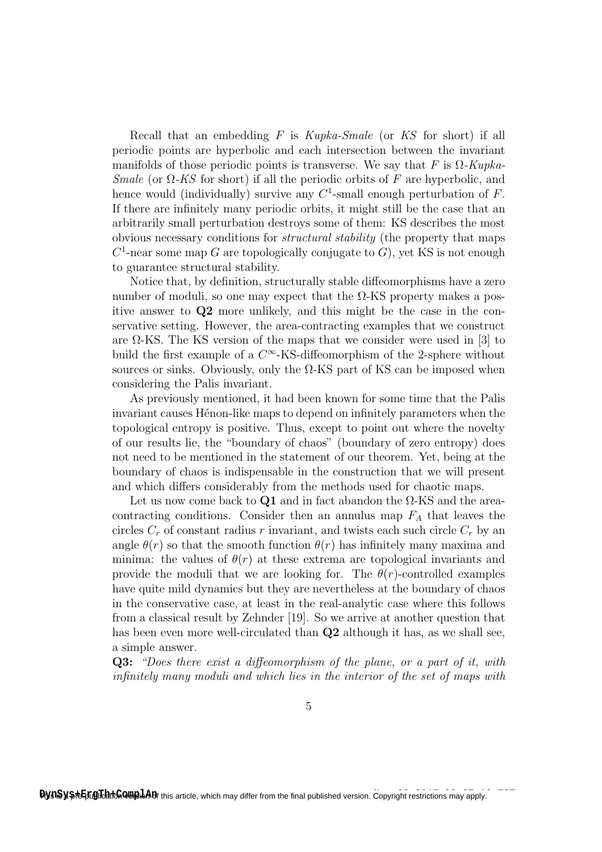Recall that an embedding F is Kupka-Smale (or KS for short) if all periodic points are hyperbolic and each intersection between the invariant manifolds of those periodic points is transverse. We say that F is  $\Omega$ -Kupka-Smale (or  $\Omega$ -KS for short) if all the periodic orbits of F are hyperbolic, and hence would (individually) survive any  $C^1$ -small enough perturbation of F. If there are infinitely many periodic orbits, it might still be the case that an arbitrarily small perturbation destroys some of them: KS describes the most obvious necessary conditions for structural stability (the property that maps  $C<sup>1</sup>$ -near some map G are topologically conjugate to G), yet KS is not enough to guarantee structural stability.

Notice that, by definition, structurally stable diffeomorphisms have a zero number of moduli, so one may expect that the Ω-KS property makes a positive answer to Q2 more unlikely, and this might be the case in the conservative setting. However, the area-contracting examples that we construct are  $\Omega$ -KS. The KS version of the maps that we consider were used in [3] to build the first example of a  $C^{\infty}$ -KS-diffeomorphism of the 2-sphere without sources or sinks. Obviously, only the  $\Omega$ -KS part of KS can be imposed when considering the Palis invariant.

As previously mentioned, it had been known for some time that the Palis invariant causes Hénon-like maps to depend on infinitely parameters when the topological entropy is positive. Thus, except to point out where the novelty of our results lie, the "boundary of chaos" (boundary of zero entropy) does not need to be mentioned in the statement of our theorem. Yet, being at the boundary of chaos is indispensable in the construction that we will present and which differs considerably from the methods used for chaotic maps.

Let us now come back to Q1 and in fact abandon the  $\Omega$ -KS and the areacontracting conditions. Consider then an annulus map  $F_A$  that leaves the circles  $C_r$  of constant radius r invariant, and twists each such circle  $C_r$  by an angle  $\theta(r)$  so that the smooth function  $\theta(r)$  has infinitely many maxima and minima: the values of  $\theta(r)$  at these extrema are topological invariants and provide the moduli that we are looking for. The  $\theta(r)$ -controlled examples have quite mild dynamics but they are nevertheless at the boundary of chaos in the conservative case, at least in the real-analytic case where this follows from a classical result by Zehnder [19]. So we arrive at another question that has been even more well-circulated than **Q2** although it has, as we shall see, a simple answer.

Q3: "Does there exist a diffeomorphism of the plane, or a part of it, with infinitely many moduli and which lies in the interior of the set of maps with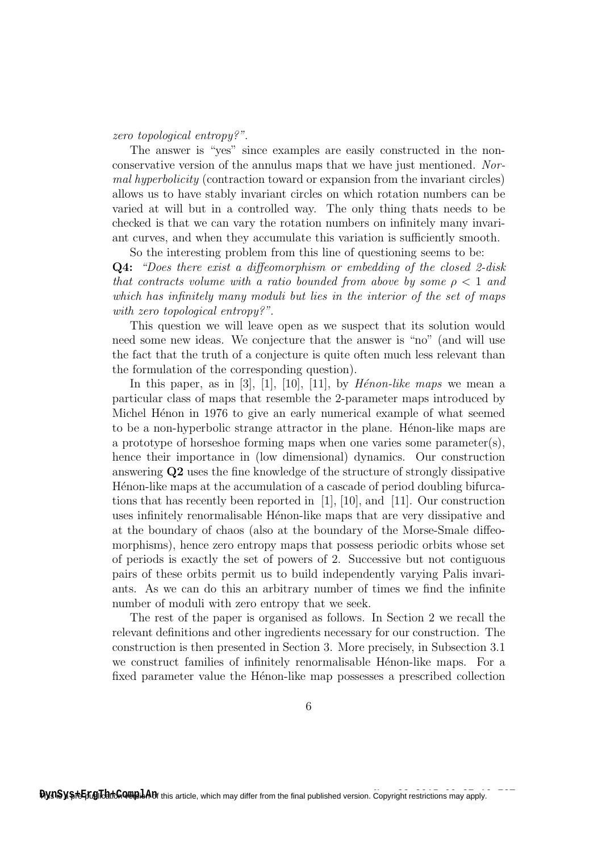zero topological entropy?".

The answer is "yes" since examples are easily constructed in the nonconservative version of the annulus maps that we have just mentioned. Normal hyperbolicity (contraction toward or expansion from the invariant circles) allows us to have stably invariant circles on which rotation numbers can be varied at will but in a controlled way. The only thing thats needs to be checked is that we can vary the rotation numbers on infinitely many invariant curves, and when they accumulate this variation is sufficiently smooth.

So the interesting problem from this line of questioning seems to be: Q4: "Does there exist a diffeomorphism or embedding of the closed 2-disk that contracts volume with a ratio bounded from above by some  $\rho < 1$  and which has infinitely many moduli but lies in the interior of the set of maps with zero topological entropy?".

This question we will leave open as we suspect that its solution would need some new ideas. We conjecture that the answer is "no" (and will use the fact that the truth of a conjecture is quite often much less relevant than the formulation of the corresponding question).

In this paper, as in [3], [1], [10], [11], by  $H\acute{e}non-like$  maps we mean a particular class of maps that resemble the 2-parameter maps introduced by Michel Hénon in 1976 to give an early numerical example of what seemed to be a non-hyperbolic strange attractor in the plane. Henon-like maps are a prototype of horseshoe forming maps when one varies some parameter(s), hence their importance in (low dimensional) dynamics. Our construction answering Q2 uses the fine knowledge of the structure of strongly dissipative Hénon-like maps at the accumulation of a cascade of period doubling bifurcations that has recently been reported in [1], [10], and [11]. Our construction uses infinitely renormalisable Hénon-like maps that are very dissipative and at the boundary of chaos (also at the boundary of the Morse-Smale diffeomorphisms), hence zero entropy maps that possess periodic orbits whose set of periods is exactly the set of powers of 2. Successive but not contiguous pairs of these orbits permit us to build independently varying Palis invariants. As we can do this an arbitrary number of times we find the infinite number of moduli with zero entropy that we seek.

The rest of the paper is organised as follows. In Section 2 we recall the relevant definitions and other ingredients necessary for our construction. The construction is then presented in Section 3. More precisely, in Subsection 3.1 we construct families of infinitely renormalisable Hénon-like maps. For a fixed parameter value the Henon-like map possesses a prescribed collection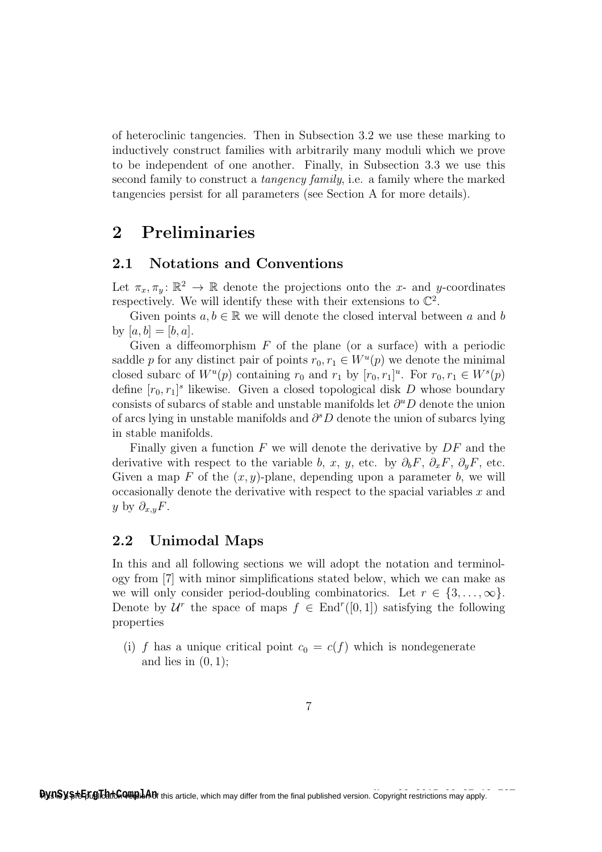of heteroclinic tangencies. Then in Subsection 3.2 we use these marking to inductively construct families with arbitrarily many moduli which we prove to be independent of one another. Finally, in Subsection 3.3 we use this second family to construct a tangency family, i.e. a family where the marked tangencies persist for all parameters (see Section A for more details).

## 2 Preliminaries

### 2.1 Notations and Conventions

Let  $\pi_x, \pi_y \colon \mathbb{R}^2 \to \mathbb{R}$  denote the projections onto the x- and y-coordinates respectively. We will identify these with their extensions to  $\mathbb{C}^2$ .

Given points  $a, b \in \mathbb{R}$  we will denote the closed interval between a and b by  $[a, b] = [b, a]$ .

Given a diffeomorphism  $F$  of the plane (or a surface) with a periodic saddle p for any distinct pair of points  $r_0, r_1 \in W^u(p)$  we denote the minimal closed subarc of  $W^u(p)$  containing  $r_0$  and  $r_1$  by  $[r_0, r_1]^u$ . For  $r_0, r_1 \in W^s(p)$ define  $[r_0, r_1]^s$  likewise. Given a closed topological disk D whose boundary consists of subarcs of stable and unstable manifolds let  $\partial^u D$  denote the union of arcs lying in unstable manifolds and  $\partial^s D$  denote the union of subarcs lying in stable manifolds.

Finally given a function  $F$  we will denote the derivative by  $DF$  and the derivative with respect to the variable b, x, y, etc. by  $\partial_b F$ ,  $\partial_x F$ ,  $\partial_y F$ , etc. Given a map F of the  $(x, y)$ -plane, depending upon a parameter b, we will occasionally denote the derivative with respect to the spacial variables  $x$  and y by  $\partial_{x,y}F$ .

### 2.2 Unimodal Maps

In this and all following sections we will adopt the notation and terminology from [7] with minor simplifications stated below, which we can make as we will only consider period-doubling combinatorics. Let  $r \in \{3, \ldots, \infty\}$ . Denote by  $\mathcal{U}^r$  the space of maps  $f \in \text{End}^r([0,1])$  satisfying the following properties

(i) f has a unique critical point  $c_0 = c(f)$  which is nondegenerate and lies in  $(0, 1)$ ;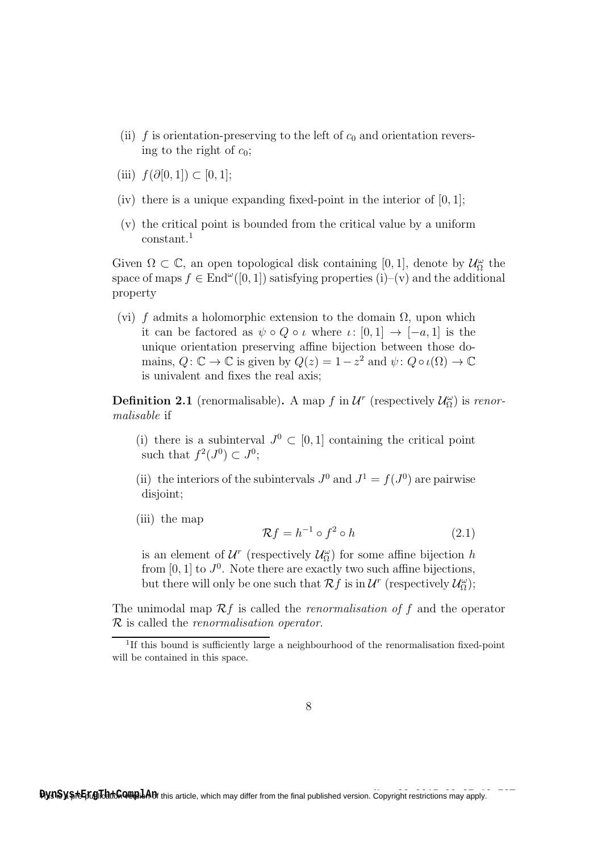- (ii) f is orientation-preserving to the left of  $c_0$  and orientation reversing to the right of  $c_0$ ;
- (iii)  $f(\partial[0,1]) \subset [0,1];$
- (iv) there is a unique expanding fixed-point in the interior of  $[0, 1]$ ;
- (v) the critical point is bounded from the critical value by a uniform constant.<sup>1</sup>

Given  $\Omega \subset \mathbb{C}$ , an open topological disk containing [0, 1], denote by  $\mathcal{U}_{\Omega}^{\omega}$  the space of maps  $f \in \text{End}^{\omega}([0,1])$  satisfying properties  $(i)-(v)$  and the additional property

(vi) f admits a holomorphic extension to the domain  $\Omega$ , upon which it can be factored as  $\psi \circ Q \circ \iota$  where  $\iota : [0,1] \to [-a,1]$  is the unique orientation preserving affine bijection between those domains,  $Q: \mathbb{C} \to \mathbb{C}$  is given by  $Q(z) = 1 - z^2$  and  $\psi: Q \circ \iota(\Omega) \to \mathbb{C}$ is univalent and fixes the real axis;

**Definition 2.1** (renormalisable). A map f in  $\mathcal{U}^r$  (respectively  $\mathcal{U}^{\omega}_{\Omega}$ ) is renormalisable if

- (i) there is a subinterval  $J^0 \subset [0,1]$  containing the critical point such that  $f^2(J^0) \subset J^0$ ;
- (ii) the interiors of the subintervals  $J^0$  and  $J^1 = f(J^0)$  are pairwise disjoint;
- (iii) the map

$$
\mathcal{R}f = h^{-1} \circ f^2 \circ h \tag{2.1}
$$

is an element of  $\mathcal{U}^r$  (respectively  $\mathcal{U}^{\omega}_{\Omega}$ ) for some affine bijection h from  $[0, 1]$  to  $J^0$ . Note there are exactly two such affine bijections, but there will only be one such that  $\mathcal{R}f$  is in  $\mathcal{U}^r$  (respectively  $\mathcal{U}^\omega_{\Omega}$ );

The unimodal map  $\mathcal{R}f$  is called the *renormalisation of* f and the operator R is called the renormalisation operator.

<sup>&</sup>lt;sup>1</sup>If this bound is sufficiently large a neighbourhood of the renormalisation fixed-point will be contained in this space.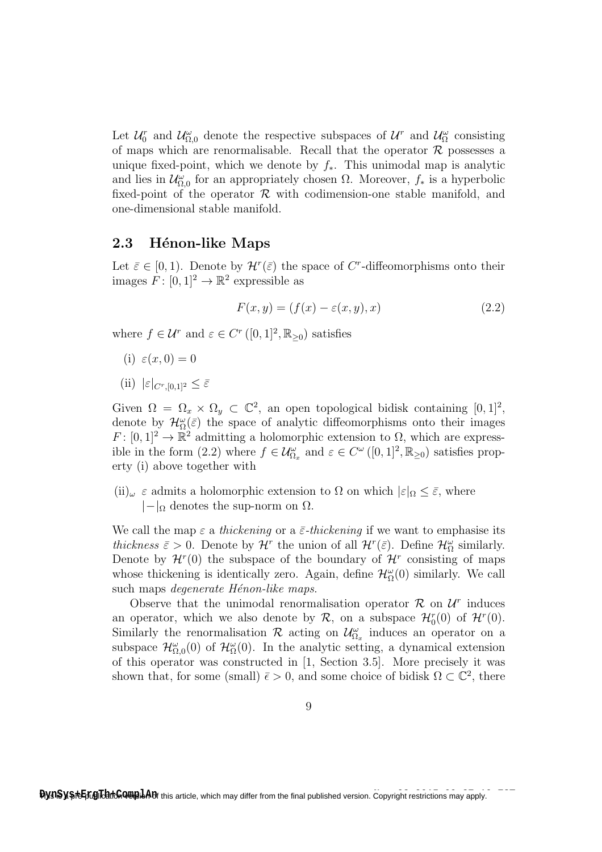Let  $\mathcal{U}_0^r$  and  $\mathcal{U}_{\Omega,0}^{\omega}$  denote the respective subspaces of  $\mathcal{U}^r$  and  $\mathcal{U}_{\Omega}^{\omega}$  consisting of maps which are renormalisable. Recall that the operator  $\mathcal R$  possesses a unique fixed-point, which we denote by  $f_*$ . This unimodal map is analytic and lies in  $\mathcal{U}_{\Omega,0}^{\omega}$  for an appropriately chosen  $\Omega$ . Moreover,  $f_*$  is a hyperbolic fixed-point of the operator  $R$  with codimension-one stable manifold, and one-dimensional stable manifold.

#### 2.3 Hénon-like Maps

Let  $\bar{\varepsilon} \in [0, 1)$ . Denote by  $\mathcal{H}^r(\bar{\varepsilon})$  the space of C<sup>r</sup>-diffeomorphisms onto their images  $F: [0, 1]^2 \to \mathbb{R}^2$  expressible as

$$
F(x, y) = (f(x) - \varepsilon(x, y), x)
$$
\n(2.2)

where  $f \in \mathcal{U}^r$  and  $\varepsilon \in C^r([0,1]^2, \mathbb{R}_{\geq 0})$  satisfies

- (i)  $\varepsilon(x, 0) = 0$
- (ii)  $|\varepsilon|_{C^r[0,1]^2} < \bar{\varepsilon}$

Given  $\Omega = \Omega_x \times \Omega_y \subset \mathbb{C}^2$ , an open topological bidisk containing  $[0,1]^2$ , denote by  $\mathcal{H}^{\omega}_{\Omega}(\bar{\varepsilon})$  the space of analytic diffeomorphisms onto their images  $F: [0,1]^2 \to \mathbb{R}^2$  admitting a holomorphic extension to  $\Omega$ , which are expressible in the form (2.2) where  $f \in \mathcal{U}^{\omega}_{\Omega_x}$  and  $\varepsilon \in C^{\omega}([0,1]^2, \mathbb{R}_{\geq 0})$  satisfies property (i) above together with

(ii)<sub>ω</sub>  $\varepsilon$  admits a holomorphic extension to  $\Omega$  on which  $|\varepsilon|_{\Omega} \leq \bar{\varepsilon}$ , where  $|-|_{\Omega}$  denotes the sup-norm on  $\Omega$ .

We call the map  $\varepsilon$  a thickening or a  $\bar{\varepsilon}$ -thickening if we want to emphasise its thickness  $\bar{\varepsilon} > 0$ . Denote by  $\mathcal{H}^r$  the union of all  $\mathcal{H}^r(\bar{\varepsilon})$ . Define  $\mathcal{H}_{\Omega}^{\omega}$  similarly. Denote by  $\mathcal{H}^r(0)$  the subspace of the boundary of  $\mathcal{H}^r$  consisting of maps whose thickening is identically zero. Again, define  $\mathcal{H}^{\omega}_{\Omega}(0)$  similarly. We call such maps *degenerate Hénon-like maps*.

Observe that the unimodal renormalisation operator  $\mathcal{R}$  on  $\mathcal{U}^r$  induces an operator, which we also denote by  $\mathcal{R}$ , on a subspace  $\mathcal{H}_0^r(0)$  of  $\mathcal{H}^r(0)$ . Similarly the renormalisation  $\mathcal R$  acting on  $\mathcal{U}_{\Omega_x}^{\omega}$  induces an operator on a subspace  $\mathcal{H}_{\Omega,0}^{\omega}(0)$  of  $\mathcal{H}_{\Omega}^{\omega}(0)$ . In the analytic setting, a dynamical extension of this operator was constructed in [1, Section 3.5]. More precisely it was shown that, for some (small)  $\bar{\epsilon} > 0$ , and some choice of bidisk  $\Omega \subset \mathbb{C}^2$ , there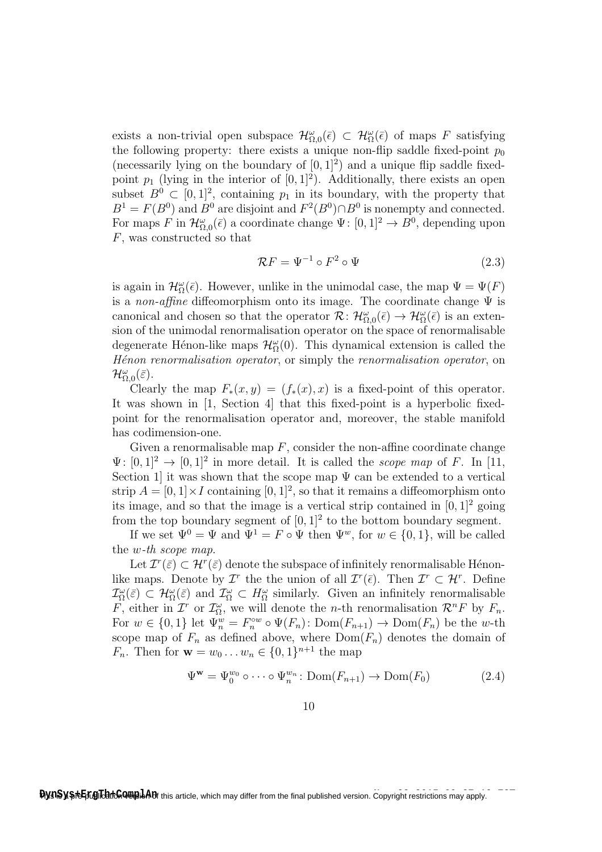exists a non-trivial open subspace  $\mathcal{H}^{\omega}_{\Omega,0}(\bar{\epsilon}) \subset \mathcal{H}^{\omega}_{\Omega}(\bar{\epsilon})$  of maps F satisfying the following property: there exists a unique non-flip saddle fixed-point  $p_0$ (necessarily lying on the boundary of  $[0, 1]^2$ ) and a unique flip saddle fixedpoint  $p_1$  (lying in the interior of  $[0, 1]^2$ ). Additionally, there exists an open subset  $B^0 \subset [0,1]^2$ , containing  $p_1$  in its boundary, with the property that  $B<sup>1</sup> = F(B<sup>0</sup>)$  and  $B<sup>0</sup>$  are disjoint and  $F<sup>2</sup>(B<sup>0</sup>) \cap B<sup>0</sup>$  is nonempty and connected. For maps F in  $\mathcal{H}_{\Omega,0}^{\omega}(\bar{\epsilon})$  a coordinate change  $\Psi: [0,1]^2 \to B^0$ , depending upon F, was constructed so that

$$
\mathcal{R}F = \Psi^{-1} \circ F^2 \circ \Psi \tag{2.3}
$$

is again in  $\mathcal{H}^{\omega}_{\Omega}(\bar{\epsilon})$ . However, unlike in the unimodal case, the map  $\Psi = \Psi(F)$ is a non-affine diffeomorphism onto its image. The coordinate change  $\Psi$  is canonical and chosen so that the operator  $\mathcal{R} \colon \mathcal{H}_{\Omega,0}^{\omega}(\bar{\epsilon}) \to \mathcal{H}_{\Omega}^{\omega}(\bar{\epsilon})$  is an extension of the unimodal renormalisation operator on the space of renormalisable degenerate Hénon-like maps  $\mathcal{H}^{\omega}_{\Omega}(0)$ . This dynamical extension is called the Hénon renormalisation operator, or simply the renormalisation operator, on  $\mathcal{H}_{\Omega,0}^{\omega}(\bar{\varepsilon}).$ 

Clearly the map  $F_*(x, y) = (f_*(x), x)$  is a fixed-point of this operator. It was shown in [1, Section 4] that this fixed-point is a hyperbolic fixedpoint for the renormalisation operator and, moreover, the stable manifold has codimension-one.

Given a renormalisable map  $F$ , consider the non-affine coordinate change  $\Psi: [0,1]^2 \to [0,1]^2$  in more detail. It is called the *scope map* of F. In [11, Section 1 it was shown that the scope map  $\Psi$  can be extended to a vertical strip  $A = [0, 1] \times I$  containing  $[0, 1]^2$ , so that it remains a diffeomorphism onto its image, and so that the image is a vertical strip contained in  $[0, 1]^2$  going from the top boundary segment of  $[0,1]^2$  to the bottom boundary segment.

If we set  $\Psi^0 = \Psi$  and  $\Psi^1 = F \circ \Psi$  then  $\Psi^w$ , for  $w \in \{0, 1\}$ , will be called the w-th scope map.

Let  $\mathcal{I}^r(\bar{\varepsilon}) \subset \mathcal{H}^r(\bar{\varepsilon})$  denote the subspace of infinitely renormalisable Hénonlike maps. Denote by  $\mathcal{I}^r$  the the union of all  $\mathcal{I}^r(\bar{\epsilon})$ . Then  $\mathcal{I}^r \subset \mathcal{H}^r$ . Define  $\mathcal{I}_{\Omega}^{\omega}(\bar{\varepsilon}) \subset \mathcal{H}_{\Omega}^{\omega}(\bar{\varepsilon})$  and  $\mathcal{I}_{\Omega}^{\omega} \subset H_{\Omega}^{\omega}$  similarly. Given an infinitely renormalisable F, either in  $\mathcal{I}^r$  or  $\mathcal{I}^{\omega}_{\Omega}$ , we will denote the *n*-th renormalisation  $\mathcal{R}^n F$  by  $F_n$ . For  $w \in \{0,1\}$  let  $\Psi_n^w = F_n^{\circ w} \circ \Psi(F_n)$ :  $\text{Dom}(F_{n+1}) \to \text{Dom}(F_n)$  be the w-th scope map of  $F_n$  as defined above, where  $Dom(F_n)$  denotes the domain of  $F_n$ . Then for  $w = w_0 ... w_n \in \{0, 1\}^{n+1}$  the map

$$
\Psi^{\mathbf{w}} = \Psi_0^{w_0} \circ \cdots \circ \Psi_n^{w_n} \colon \text{Dom}(F_{n+1}) \to \text{Dom}(F_0)
$$
\n(2.4)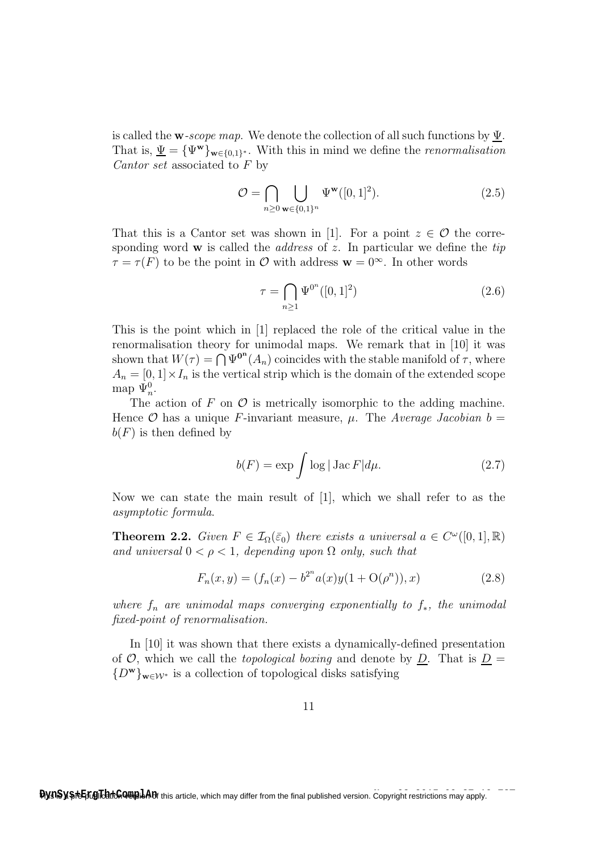is called the **w**-scope map. We denote the collection of all such functions by  $\Psi$ . That is,  $\underline{\Psi} = {\Psi^{\mathbf{w}}}_{\mathbf{w} \in \{0,1\}^*}$ . With this in mind we define the *renormalisation* Cantor set associated to F by

$$
\mathcal{O} = \bigcap_{n \ge 0} \bigcup_{\mathbf{w} \in \{0,1\}^n} \Psi^{\mathbf{w}}([0,1]^2). \tag{2.5}
$$

That this is a Cantor set was shown in [1]. For a point  $z \in \mathcal{O}$  the corresponding word  $\bf{w}$  is called the *address* of z. In particular we define the tip  $\tau = \tau(F)$  to be the point in  $\mathcal O$  with address  $\mathbf w = 0^\infty$ . In other words

$$
\tau = \bigcap_{n \ge 1} \Psi^{0^n}([0, 1]^2) \tag{2.6}
$$

This is the point which in [1] replaced the role of the critical value in the renormalisation theory for unimodal maps. We remark that in [10] it was shown that  $W(\tau) = \bigcap \Psi^{\mathbf{0}^n}(A_n)$  coincides with the stable manifold of  $\tau$ , where  $A_n = [0, 1] \times I_n$  is the vertical strip which is the domain of the extended scope map  $\Psi_n^0$ .

The action of F on  $\mathcal O$  is metrically isomorphic to the adding machine. Hence  $\mathcal O$  has a unique F-invariant measure,  $\mu$ . The Average Jacobian  $b =$  $b(F)$  is then defined by

$$
b(F) = \exp \int \log |\operatorname{Jac} F| d\mu. \tag{2.7}
$$

Now we can state the main result of [1], which we shall refer to as the asymptotic formula.

**Theorem 2.2.** Given  $F \in \mathcal{I}_{\Omega}(\bar{\varepsilon}_0)$  there exists a universal  $a \in C^{\omega}([0,1], \mathbb{R})$ and universal  $0 < \rho < 1$ , depending upon  $\Omega$  only, such that

$$
F_n(x, y) = (f_n(x) - b^{2^n} a(x) y(1 + \mathcal{O}(\rho^n)), x)
$$
\n(2.8)

where  $f_n$  are unimodal maps converging exponentially to  $f_*$ , the unimodal fixed-point of renormalisation.

In [10] it was shown that there exists a dynamically-defined presentation of  $\mathcal{O}$ , which we call the *topological boxing* and denote by  $\underline{D}$ . That is  $\underline{D} =$  ${D^{\mathbf{w}}}_{\mathbf{w}\in\mathcal{W}^*}$  is a collection of topological disks satisfying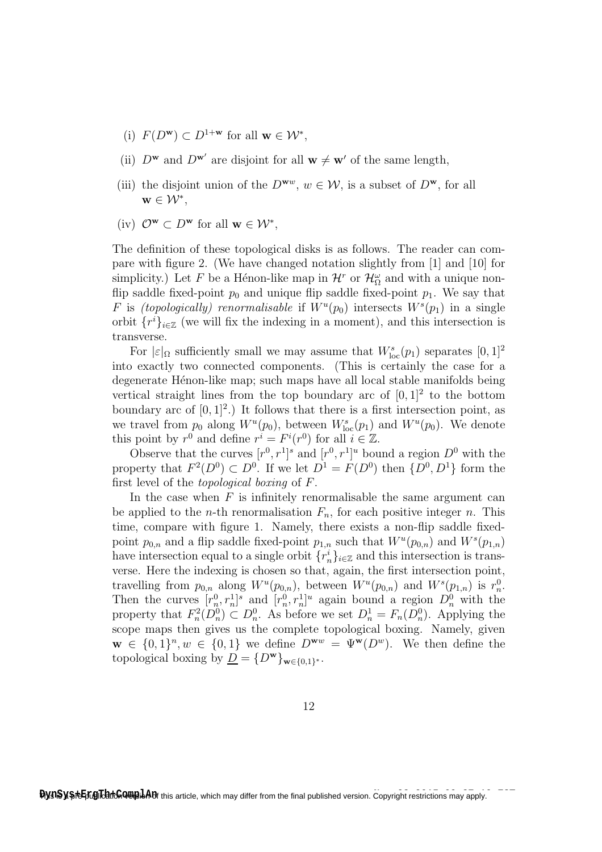- (i)  $F(D^{\mathbf{w}}) \subset D^{1+\mathbf{w}}$  for all  $\mathbf{w} \in \mathcal{W}^*$ ,
- (ii)  $D^{\mathbf{w}}$  and  $D^{\mathbf{w}'}$  are disjoint for all  $\mathbf{w} \neq \mathbf{w}'$  of the same length,
- (iii) the disjoint union of the  $D^{\mathbf{w}_w}$ ,  $w \in \mathcal{W}$ , is a subset of  $D^{\mathbf{w}}$ , for all  $\mathbf{w} \in \mathcal{W}^*,$
- (iv)  $\mathcal{O}^{\mathbf{w}} \subset D^{\mathbf{w}}$  for all  $\mathbf{w} \in \mathcal{W}^*$ ,

The definition of these topological disks is as follows. The reader can compare with figure 2. (We have changed notation slightly from [1] and [10] for simplicity.) Let F be a Hénon-like map in  $\mathcal{H}^r$  or  $\mathcal{H}_{\Omega}^{\omega}$  and with a unique nonflip saddle fixed-point  $p_0$  and unique flip saddle fixed-point  $p_1$ . We say that F is (topologically) renormalisable if  $W^u(p_0)$  intersects  $W^s(p_1)$  in a single orbit  $\{r^i\}_{i\in\mathbb{Z}}$  (we will fix the indexing in a moment), and this intersection is transverse.

For  $|\varepsilon|_{\Omega}$  sufficiently small we may assume that  $W_{\text{loc}}^s(p_1)$  separates  $[0,1]^2$ into exactly two connected components. (This is certainly the case for a degenerate Hénon-like map; such maps have all local stable manifolds being vertical straight lines from the top boundary arc of  $[0,1]^2$  to the bottom boundary arc of  $[0, 1]^2$ .) It follows that there is a first intersection point, as we travel from  $p_0$  along  $W^u(p_0)$ , between  $W^s_{\text{loc}}(p_1)$  and  $W^u(p_0)$ . We denote this point by  $r^0$  and define  $r^i = F^i(r^0)$  for all  $i \in \mathbb{Z}$ .

Observe that the curves  $[r^0, r^1]^s$  and  $[r^0, r^1]^u$  bound a region  $D^0$  with the property that  $F^2(D^0) \subset D^0$ . If we let  $D^1 = F(D^0)$  then  $\{D^0, D^1\}$  form the first level of the topological boxing of F.

In the case when  $F$  is infinitely renormalisable the same argument can be applied to the *n*-th renormalisation  $F_n$ , for each positive integer *n*. This time, compare with figure 1. Namely, there exists a non-flip saddle fixedpoint  $p_{0,n}$  and a flip saddle fixed-point  $p_{1,n}$  such that  $W^u(p_{0,n})$  and  $W^s(p_{1,n})$ have intersection equal to a single orbit  $\{r_n^i\}_{i\in\mathbb{Z}}$  and this intersection is transverse. Here the indexing is chosen so that, again, the first intersection point, travelling from  $p_{0,n}$  along  $W^u(p_{0,n})$ , between  $W^u(p_{0,n})$  and  $W^s(p_{1,n})$  is  $r_n^0$ . Then the curves  $[r_n^0, r_n^1]^s$  and  $[r_n^0, r_n^1]^u$  again bound a region  $D_n^0$  with the property that  $F_n^2(D_n^0) \subset D_n^0$ . As before we set  $D_n^1 = F_n(D_n^0)$ . Applying the scope maps then gives us the complete topological boxing. Namely, given  $\mathbf{w} \in \{0,1\}^n, w \in \{0,1\}$  we define  $D^{\mathbf{w}w} = \Psi^{\mathbf{w}}(D^w)$ . We then define the topological boxing by  $\underline{D} = \{D^{\mathbf{w}}\}_{\mathbf{w}\in\{0,1\}^*}.$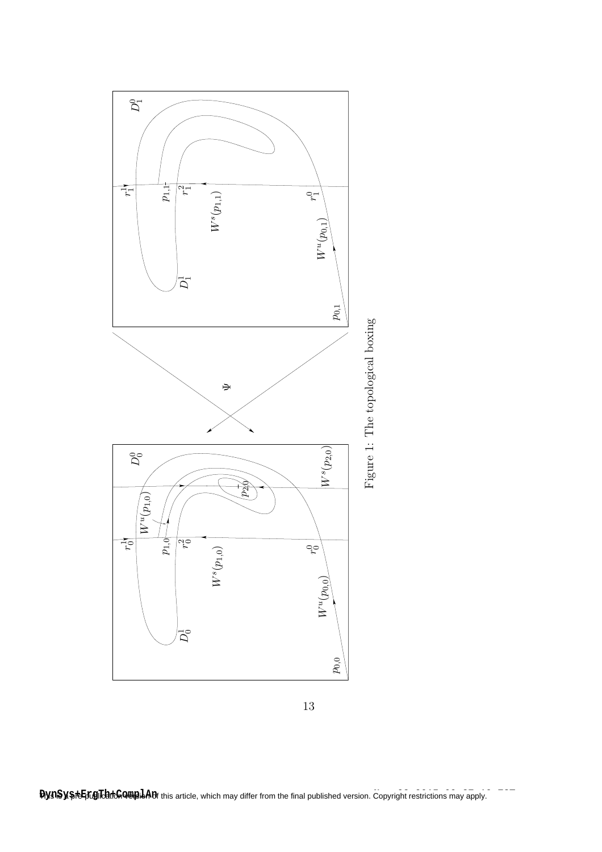



**Copyright restrictions may apply. Itys:Sys+Exel&butGone? In this article**, which may differ from the final published version. Copyright restrictions may apply.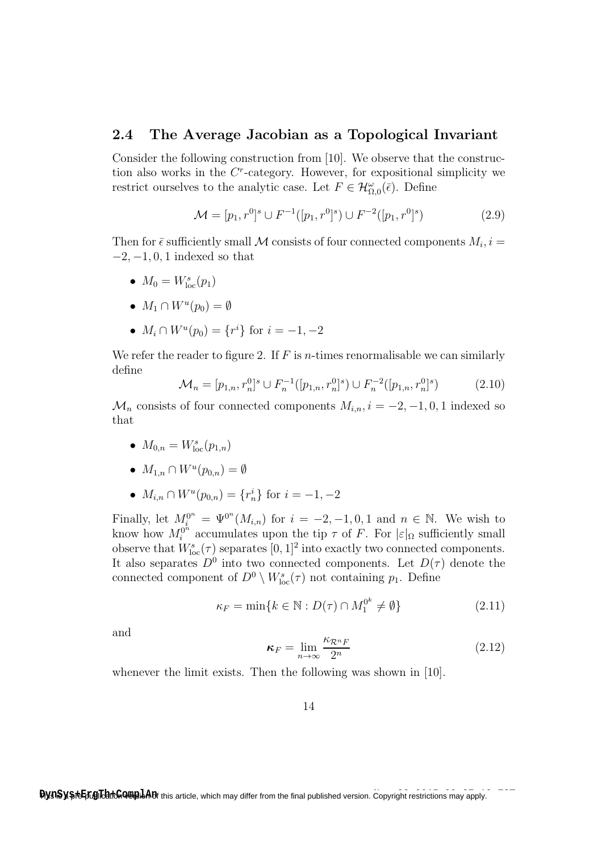#### 2.4 The Average Jacobian as a Topological Invariant

Consider the following construction from [10]. We observe that the construction also works in the  $C<sup>r</sup>$ -category. However, for expositional simplicity we restrict ourselves to the analytic case. Let  $F \in \mathcal{H}_{\Omega,0}^{\omega}(\overline{\epsilon})$ . Define

$$
\mathcal{M} = [p_1, r^0]^s \cup F^{-1}([p_1, r^0]^s) \cup F^{-2}([p_1, r^0]^s)
$$
\n(2.9)

Then for  $\bar{\epsilon}$  sufficiently small M consists of four connected components  $M_i$ ,  $i =$  $-2, -1, 0, 1$  indexed so that

- $M_0 = W_{\text{loc}}^s(p_1)$
- $M_1 \cap W^u(p_0) = \emptyset$
- $M_i \cap W^u(p_0) = \{r^i\}$  for  $i = -1, -2$

We refer the reader to figure 2. If  $F$  is *n*-times renormalisable we can similarly define

$$
\mathcal{M}_n = [p_{1,n}, r_n^0]^s \cup F_n^{-1}([p_{1,n}, r_n^0]^s) \cup F_n^{-2}([p_{1,n}, r_n^0]^s)
$$
(2.10)

 $\mathcal{M}_n$  consists of four connected components  $M_{i,n}$ ,  $i = -2, -1, 0, 1$  indexed so that

- $M_{0,n} = W_{\text{loc}}^s(p_{1,n})$
- $M_{1,n} \cap W^u(p_{0,n}) = \emptyset$
- $M_{i,n} \cap W^u(p_{0,n}) = \{r_n^i\}$  for  $i = -1, -2$

Finally, let  $M_i^{0^n} = \Psi^{0^n}(M_{i,n})$  for  $i = -2, -1, 0, 1$  and  $n \in \mathbb{N}$ . We wish to know how  $M_i^{0^n}$  $\int_{i}^{0^{n}}$  accumulates upon the tip  $\tau$  of F. For  $|\varepsilon|_{\Omega}$  sufficiently small observe that  $W_{\text{loc}}^{s}(\tau)$  separates  $[0,1]^2$  into exactly two connected components. It also separates  $D^0$  into two connected components. Let  $D(\tau)$  denote the connected component of  $D^0 \setminus W^s_{\text{loc}}(\tau)$  not containing  $p_1$ . Define

$$
\kappa_F = \min\{k \in \mathbb{N} : D(\tau) \cap M_1^{0^k} \neq \emptyset\}
$$
\n(2.11)

and

$$
\kappa_F = \lim_{n \to \infty} \frac{\kappa_{\mathcal{R}^n F}}{2^n}
$$
 (2.12)

whenever the limit exists. Then the following was shown in [10].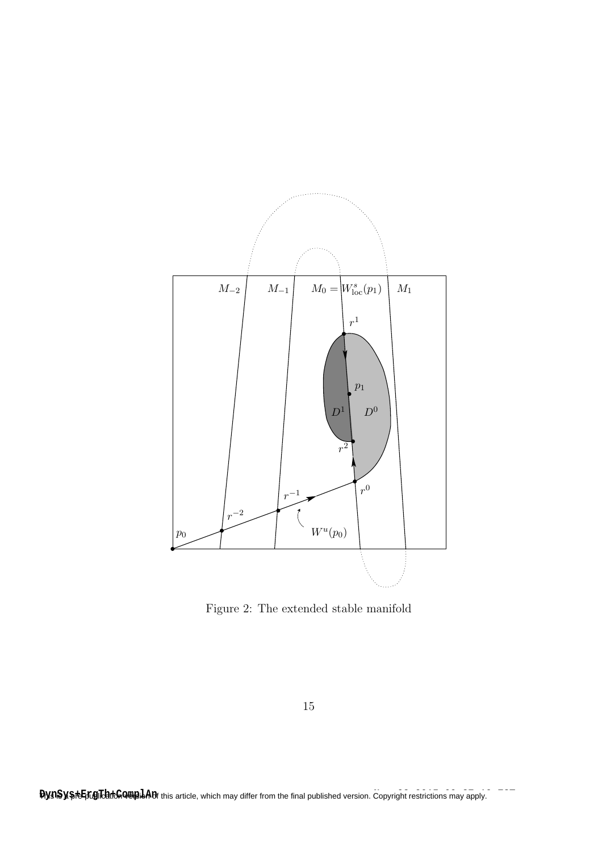

Figure 2: The extended stable manifold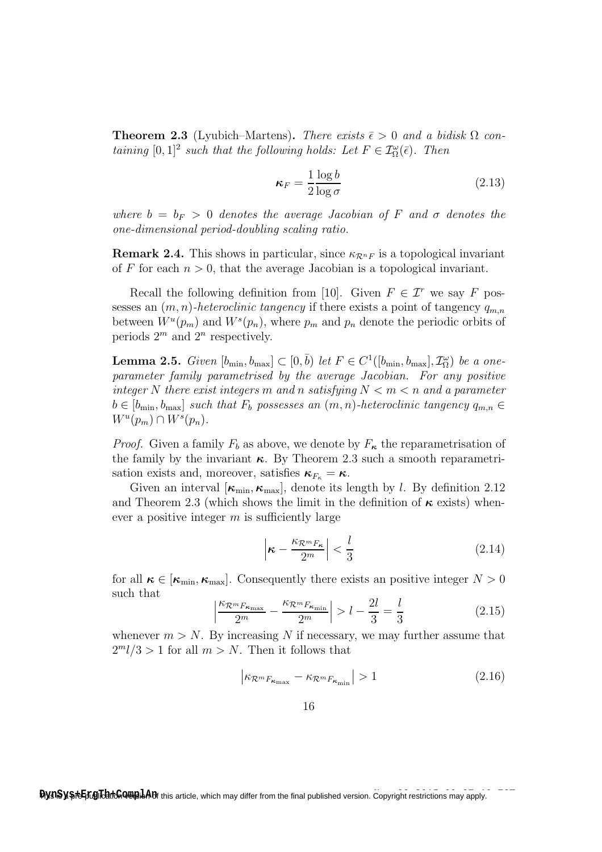**Theorem 2.3** (Lyubich–Martens). There exists  $\bar{\epsilon} > 0$  and a bidisk  $\Omega$  containing  $[0,1]^2$  such that the following holds: Let  $F \in \mathcal{I}^{\omega}_\Omega(\overline{\epsilon})$ . Then

$$
\kappa_F = \frac{1}{2} \frac{\log b}{\log \sigma} \tag{2.13}
$$

where  $b = b_F > 0$  denotes the average Jacobian of F and  $\sigma$  denotes the one-dimensional period-doubling scaling ratio.

**Remark 2.4.** This shows in particular, since  $\kappa_{\mathcal{R}^nF}$  is a topological invariant of F for each  $n > 0$ , that the average Jacobian is a topological invariant.

Recall the following definition from [10]. Given  $F \in \mathcal{I}^r$  we say F possesses an  $(m, n)$ -heteroclinic tangency if there exists a point of tangency  $q_{m,n}$ between  $W^u(p_m)$  and  $W^s(p_n)$ , where  $p_m$  and  $p_n$  denote the periodic orbits of periods  $2^m$  and  $2^n$  respectively.

**Lemma 2.5.** Given  $[b_{\min}, b_{\max}] \subset [0, \bar{b})$  let  $F \in C^1([b_{\min}, b_{\max}], \mathcal{I}_{\Omega}^{\omega})$  be a oneparameter family parametrised by the average Jacobian. For any positive integer N there exist integers m and n satisfying  $N < m < n$  and a parameter  $b \in [b_{\min}, b_{\max}]$  such that  $F_b$  possesses an  $(m, n)$ -heteroclinic tangency  $q_{m,n} \in$  $W^u(p_m) \cap W^s(p_n).$ 

*Proof.* Given a family  $F_b$  as above, we denote by  $F_{\kappa}$  the reparametrisation of the family by the invariant  $\kappa$ . By Theorem 2.3 such a smooth reparametrisation exists and, moreover, satisfies  $\kappa_{F_{\kappa}} = \kappa$ .

Given an interval  $[\kappa_{\min}, \kappa_{\max}]$ , denote its length by l. By definition 2.12 and Theorem 2.3 (which shows the limit in the definition of  $\kappa$  exists) whenever a positive integer  $m$  is sufficiently large

$$
\left|\boldsymbol{\kappa} - \frac{\kappa_{\mathcal{R}^m F_{\boldsymbol{\kappa}}}}{2^m}\right| < \frac{l}{3} \tag{2.14}
$$

for all  $\kappa \in [\kappa_{\min}, \kappa_{\max}]$ . Consequently there exists an positive integer  $N > 0$ such that

$$
\left| \frac{\kappa_{\mathcal{R}^m F_{\kappa_{\max}}}}{2^m} - \frac{\kappa_{\mathcal{R}^m F_{\kappa_{\min}}}}{2^m} \right| > l - \frac{2l}{3} = \frac{l}{3}
$$
 (2.15)

whenever  $m > N$ . By increasing N if necessary, we may further assume that  $2<sup>m</sup>l/3 > 1$  for all  $m > N$ . Then it follows that

$$
\left| \kappa_{\mathcal{R}^m F_{\kappa_{\max}}} - \kappa_{\mathcal{R}^m F_{\kappa_{\min}}} \right| > 1 \tag{2.16}
$$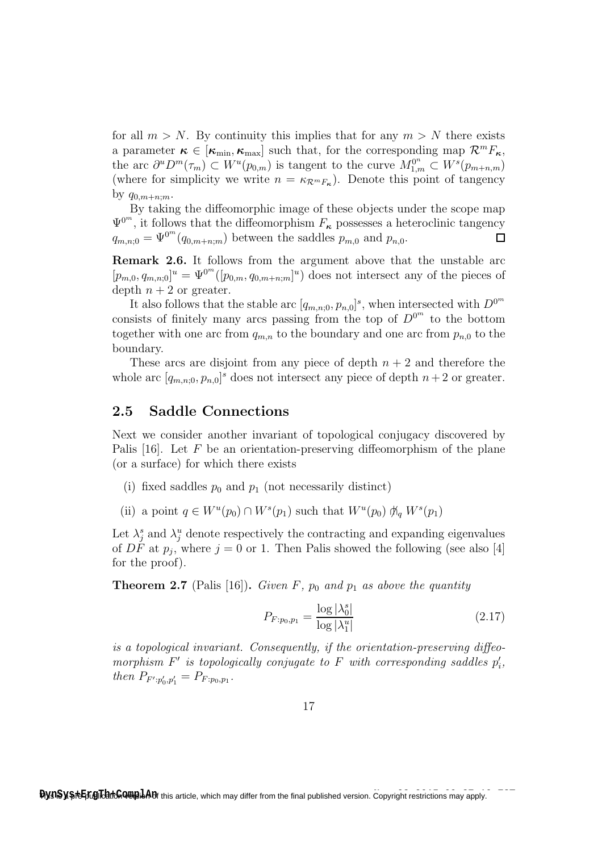for all  $m > N$ . By continuity this implies that for any  $m > N$  there exists a parameter  $\kappa \in [\kappa_{\min}, \kappa_{\max}]$  such that, for the corresponding map  $\mathcal{R}^m F_{\kappa}$ , the arc  $\partial^u D^m(\tau_m) \subset W^u(p_{0,m})$  is tangent to the curve  $M_{1,m}^{0^n} \subset W^s(p_{m+n,m})$ (where for simplicity we write  $n = \kappa_{\mathcal{R}^m F_{\kappa}}$ ). Denote this point of tangency by  $q_{0,m+n+m}$ .

By taking the diffeomorphic image of these objects under the scope map  $\Psi^{0^m}$ , it follows that the diffeomorphism  $F_{\kappa}$  possesses a heteroclinic tangency  $q_{m,n;0} = \Psi^{0^m}(q_{0,m+n;m})$  between the saddles  $p_{m,0}$  and  $p_{n,0}$ .  $\Box$ 

Remark 2.6. It follows from the argument above that the unstable arc  $[p_{m,0}, q_{m,n;0}]^u = \Psi^{0^m}([p_{0,m}, q_{0,m+n;m}]^u)$  does not intersect any of the pieces of depth  $n + 2$  or greater.

It also follows that the stable arc  $[q_{m,n;0}, p_{n,0}]^s$ , when intersected with  $D^{0^m}$ consists of finitely many arcs passing from the top of  $D^{0^m}$  to the bottom together with one arc from  $q_{m,n}$  to the boundary and one arc from  $p_{n,0}$  to the boundary.

These arcs are disjoint from any piece of depth  $n + 2$  and therefore the whole arc  $[q_{m,n;0}, p_{n,0}]^s$  does not intersect any piece of depth  $n+2$  or greater.

#### 2.5 Saddle Connections

Next we consider another invariant of topological conjugacy discovered by Palis  $[16]$ . Let F be an orientation-preserving diffeomorphism of the plane (or a surface) for which there exists

- (i) fixed saddles  $p_0$  and  $p_1$  (not necessarily distinct)
- (ii) a point  $q \in W^u(p_0) \cap W^s(p_1)$  such that  $W^u(p_0) \nparallel q W^s(p_1)$

Let  $\lambda_j^s$  and  $\lambda_j^u$  denote respectively the contracting and expanding eigenvalues of DF at  $p_j$ , where  $j = 0$  or 1. Then Palis showed the following (see also [4] for the proof).

**Theorem 2.7** (Palis [16]). Given F,  $p_0$  and  $p_1$  as above the quantity

$$
P_{F:p_0,p_1} = \frac{\log |\lambda_0^s|}{\log |\lambda_1^u|} \tag{2.17}
$$

is a topological invariant. Consequently, if the orientation-preserving diffeomorphism  $F'$  is topologically conjugate to  $F$  with corresponding saddles  $p'_i$ , then  $P_{F':p'_0,p'_1} = P_{F:p_0,p_1}$ .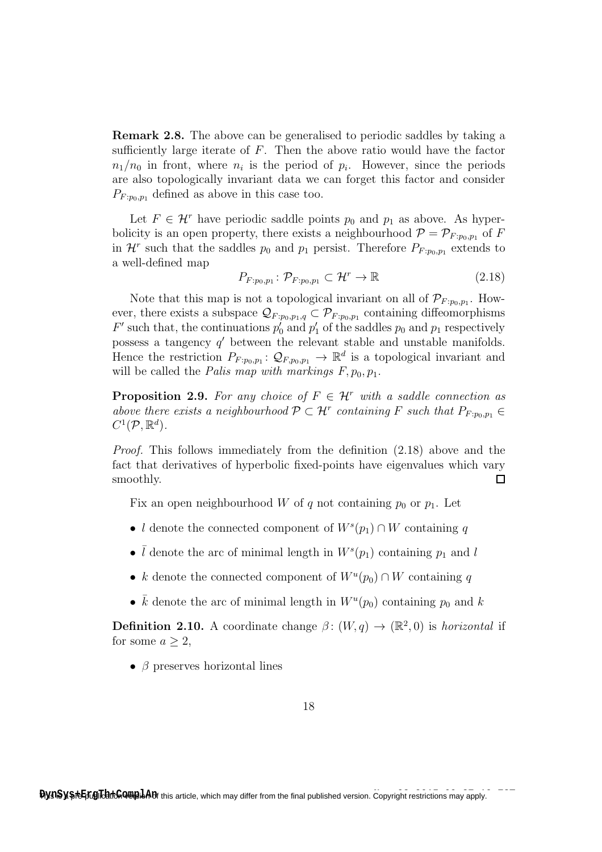Remark 2.8. The above can be generalised to periodic saddles by taking a sufficiently large iterate of  $F$ . Then the above ratio would have the factor  $n_1/n_0$  in front, where  $n_i$  is the period of  $p_i$ . However, since the periods are also topologically invariant data we can forget this factor and consider  $P_{F:po,p_1}$  defined as above in this case too.

Let  $F \in \mathcal{H}^r$  have periodic saddle points  $p_0$  and  $p_1$  as above. As hyperbolicity is an open property, there exists a neighbourhood  $\mathcal{P} = \mathcal{P}_{F:p_0,p_1}$  of F in  $\mathcal{H}^r$  such that the saddles  $p_0$  and  $p_1$  persist. Therefore  $P_{F:p_0,p_1}$  extends to a well-defined map

$$
P_{F:p_0,p_1} \colon \mathcal{P}_{F:p_0,p_1} \subset \mathcal{H}^r \to \mathbb{R}
$$
\n
$$
(2.18)
$$

Note that this map is not a topological invariant on all of  $\mathcal{P}_{F:p_0,p_1}$ . However, there exists a subspace  $\mathcal{Q}_{F:p_0,p_1,q} \subset \mathcal{P}_{F:p_0,p_1}$  containing diffeomorphisms  $F'$  such that, the continuations  $p'_0$  and  $p'_1$  of the saddles  $p_0$  and  $p_1$  respectively possess a tangency  $q'$  between the relevant stable and unstable manifolds. Hence the restriction  $P_{F:p_0,p_1}$ :  $\mathcal{Q}_{F,p_0,p_1} \to \mathbb{R}^d$  is a topological invariant and will be called the *Palis map with markings*  $F, p_0, p_1$ .

**Proposition 2.9.** For any choice of  $F \in \mathcal{H}^r$  with a saddle connection as above there exists a neighbourhood  $\mathcal{P} \subset \mathcal{H}^r$  containing F such that  $P_{F: p_0, p_1} \in$  $C^1(\mathcal{P}, \mathbb{R}^d)$ .

Proof. This follows immediately from the definition (2.18) above and the fact that derivatives of hyperbolic fixed-points have eigenvalues which vary smoothly.  $\Box$ 

Fix an open neighbourhood W of q not containing  $p_0$  or  $p_1$ . Let

- l denote the connected component of  $W^s(p_1) \cap W$  containing q
- $\overline{l}$  denote the arc of minimal length in  $W^s(p_1)$  containing  $p_1$  and l
- k denote the connected component of  $W^u(p_0) \cap W$  containing q
- $\overline{k}$  denote the arc of minimal length in  $W^u(p_0)$  containing  $p_0$  and  $k$

**Definition 2.10.** A coordinate change  $\beta$ :  $(W, q) \rightarrow (\mathbb{R}^2, 0)$  is *horizontal* if for some  $a \geq 2$ ,

•  $\beta$  preserves horizontal lines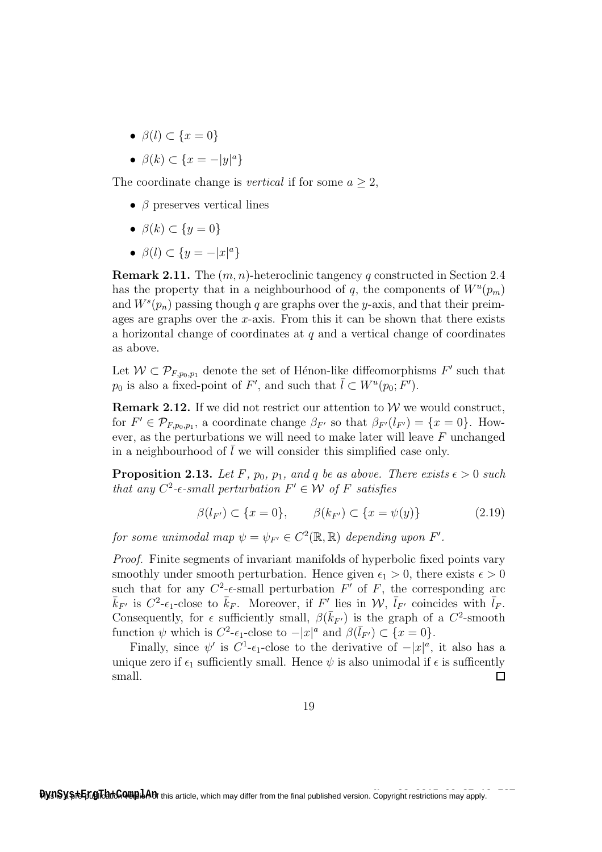- $\beta(l) \subset \{x=0\}$
- $\beta(k) \subset \{x = -|y|^a\}$

The coordinate change is *vertical* if for some  $a > 2$ ,

- $\beta$  preserves vertical lines
- $\beta(k) \subset \{y=0\}$
- $\beta(l) \subset \{y = -|x|^a\}$

**Remark 2.11.** The  $(m, n)$ -heteroclinic tangency q constructed in Section 2.4 has the property that in a neighbourhood of q, the components of  $W^u(p_m)$ and  $W^s(p_n)$  passing though q are graphs over the y-axis, and that their preimages are graphs over the x-axis. From this it can be shown that there exists a horizontal change of coordinates at  $q$  and a vertical change of coordinates as above.

Let  $W \subset \mathcal{P}_{F,p_0,p_1}$  denote the set of Hénon-like diffeomorphisms  $F'$  such that  $p_0$  is also a fixed-point of F', and such that  $\overline{l} \subset W^u(p_0; F')$ .

**Remark 2.12.** If we did not restrict our attention to  $W$  we would construct, for  $F' \in \mathcal{P}_{F,p_0,p_1}$ , a coordinate change  $\beta_{F'}$  so that  $\beta_{F'}(l_{F'}) = \{x = 0\}$ . However, as the perturbations we will need to make later will leave  $F$  unchanged in a neighbourhood of  $\overline{l}$  we will consider this simplified case only.

**Proposition 2.13.** Let F,  $p_0$ ,  $p_1$ , and q be as above. There exists  $\epsilon > 0$  such that any  $C^2$ -e-small perturbation  $F' \in \mathcal{W}$  of F satisfies

$$
\beta(l_{F'}) \subset \{x = 0\}, \qquad \beta(k_{F'}) \subset \{x = \psi(y)\}\tag{2.19}
$$

for some unimodal map  $\psi = \psi_{F'} \in C^2(\mathbb{R}, \mathbb{R})$  depending upon  $F'.$ 

Proof. Finite segments of invariant manifolds of hyperbolic fixed points vary smoothly under smooth perturbation. Hence given  $\epsilon_1 > 0$ , there exists  $\epsilon > 0$ such that for any  $C^2$ - $\epsilon$ -small perturbation  $F'$  of  $F$ , the corresponding arc  $\bar{k}_{F'}$  is  $C^2$ - $\epsilon_1$ -close to  $\bar{k}_F$ . Moreover, if  $F'$  lies in  $\mathcal{W}, \bar{l}_{F'}$  coincides with  $\bar{l}_F$ . Consequently, for  $\epsilon$  sufficiently small,  $\beta(\bar{k}_{F'})$  is the graph of a  $C^2$ -smooth function  $\psi$  which is  $C^2$ - $\epsilon_1$ -close to  $-|x|^a$  and  $\beta(\bar{l}_{F'}) \subset \{x=0\}.$ 

Finally, since  $\psi'$  is  $C^1$ - $\epsilon_1$ -close to the derivative of  $-|x|^a$ , it also has a unique zero if  $\epsilon_1$  sufficiently small. Hence  $\psi$  is also unimodal if  $\epsilon$  is sufficently small.  $\Box$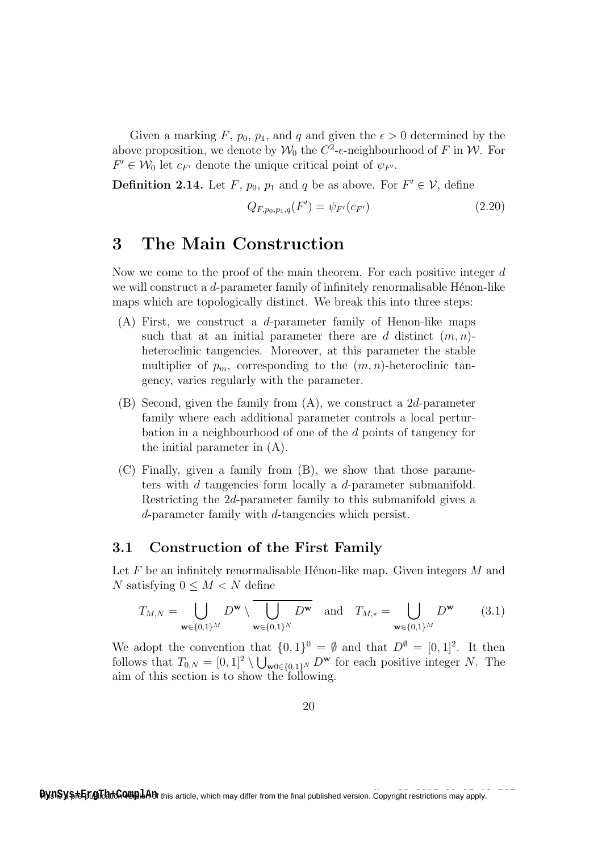Given a marking F,  $p_0$ ,  $p_1$ , and q and given the  $\epsilon > 0$  determined by the above proposition, we denote by  $\mathcal{W}_0$  the  $C^2$ - $\epsilon$ -neighbourhood of F in W. For  $F' \in \mathcal{W}_0$  let  $c_{F'}$  denote the unique critical point of  $\psi_{F'}$ .

**Definition 2.14.** Let F,  $p_0$ ,  $p_1$  and q be as above. For  $F' \in V$ , define

$$
Q_{F,p_0,p_1,q}(F') = \psi_{F'}(c_{F'})
$$
\n(2.20)

## 3 The Main Construction

Now we come to the proof of the main theorem. For each positive integer d we will construct a  $d$ -parameter family of infinitely renormalisable Hénon-like maps which are topologically distinct. We break this into three steps:

- $(A)$  First, we construct a *d*-parameter family of Henon-like maps such that at an initial parameter there are d distinct  $(m, n)$ heteroclinic tangencies. Moreover, at this parameter the stable multiplier of  $p_m$ , corresponding to the  $(m, n)$ -heteroclinic tangency, varies regularly with the parameter.
- (B) Second, given the family from (A), we construct a 2d-parameter family where each additional parameter controls a local perturbation in a neighbourhood of one of the d points of tangency for the initial parameter in (A).
- (C) Finally, given a family from (B), we show that those parameters with d tangencies form locally a d-parameter submanifold. Restricting the 2d-parameter family to this submanifold gives a d-parameter family with d-tangencies which persist.

### 3.1 Construction of the First Family

Let  $F$  be an infinitely renormalisable Hénon-like map. Given integers  $M$  and N satisfying  $0 \leq M \leq N$  define

$$
T_{M,N} = \bigcup_{\mathbf{w} \in \{0,1\}^M} D^{\mathbf{w}} \setminus \overline{\bigcup_{\mathbf{w} \in \{0,1\}^N} D^{\mathbf{w}}} \quad \text{and} \quad T_{M,*} = \bigcup_{\mathbf{w} \in \{0,1\}^M} D^{\mathbf{w}} \tag{3.1}
$$

We adopt the convention that  $\{0,1\}^0 = \emptyset$  and that  $D^{\emptyset} = [0,1]^2$ . It then follows that  $T_{0,N} = [0,1]^2 \setminus \bigcup_{\mathbf{w} \in \{0,1\}^N} D^{\mathbf{w}}$  for each positive integer N. The aim of this section is to show the following.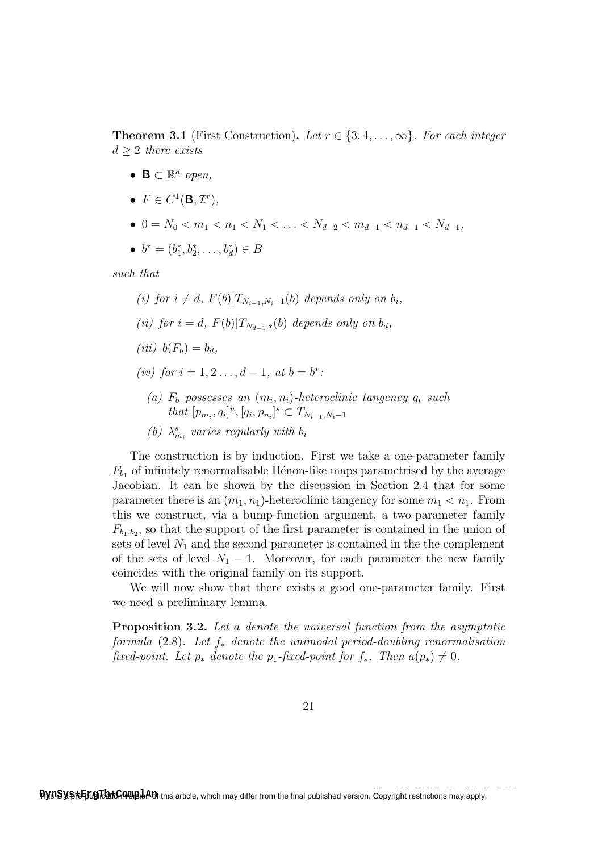**Theorem 3.1** (First Construction). Let  $r \in \{3, 4, \ldots, \infty\}$ . For each integer  $d > 2$  there exists

- $\mathbf{B} \subset \mathbb{R}^d$  open,
- $F \in C^1(\mathbf{B}, \mathcal{I}^r)$ ,
- $0 = N_0 < m_1 < n_1 < N_1 < \ldots < N_{d-2} < m_{d-1} < n_{d-1} < N_{d-1}$ ,

• 
$$
b^* = (b_1^*, b_2^*, \ldots, b_d^*) \in B
$$

such that

- (i) for  $i \neq d$ ,  $F(b)|T_{N_{i-1},N_i-1}(b)$  depends only on  $b_i$ ,
- (ii) for  $i = d$ ,  $F(b)|T_{N_{d-1},*}(b)$  depends only on  $b_d$ ,
- (iii)  $b(F_b) = b_d$ ,
- (iv) for  $i = 1, 2, ..., d 1$ , at  $b = b^*$ :
	- (a)  $F_b$  possesses an  $(m_i, n_i)$ -heteroclinic tangency  $q_i$  such that  $[p_{m_i}, q_i]^u$ ,  $[q_i, p_{n_i}]^s \subset T_{N_{i-1}, N_i-1}$
	- (b)  $\lambda_{m_i}^s$  varies regularly with  $b_i$

The construction is by induction. First we take a one-parameter family  $F_{b_1}$  of infinitely renormalisable Hénon-like maps parametrised by the average Jacobian. It can be shown by the discussion in Section 2.4 that for some parameter there is an  $(m_1, n_1)$ -heteroclinic tangency for some  $m_1 < n_1$ . From this we construct, via a bump-function argument, a two-parameter family  $F_{b_1,b_2}$ , so that the support of the first parameter is contained in the union of sets of level  $N_1$  and the second parameter is contained in the the complement of the sets of level  $N_1 - 1$ . Moreover, for each parameter the new family coincides with the original family on its support.

We will now show that there exists a good one-parameter family. First we need a preliminary lemma.

Proposition 3.2. Let a denote the universal function from the asymptotic formula (2.8). Let  $f_*$  denote the unimodal period-doubling renormalisation fixed-point. Let  $p_*$  denote the  $p_1$ -fixed-point for  $f_*$ . Then  $a(p_*) \neq 0$ .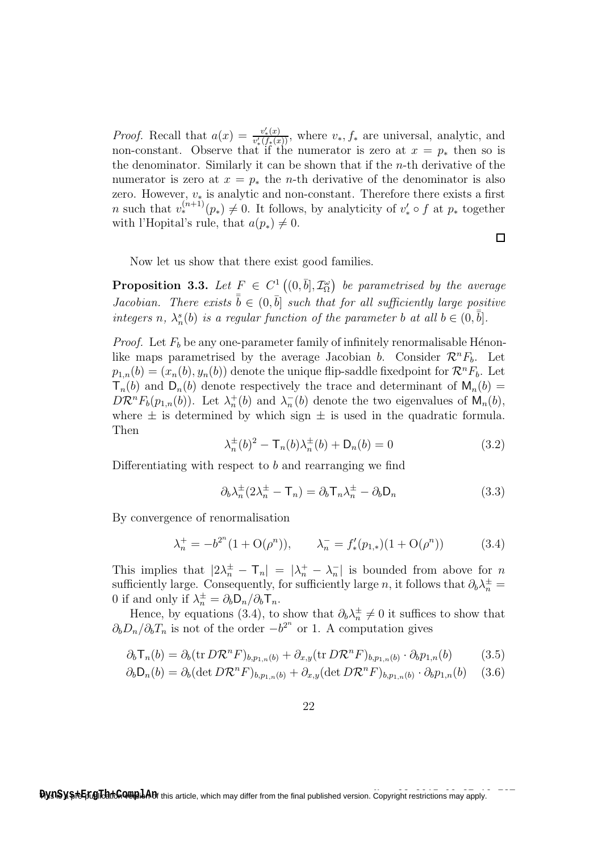*Proof.* Recall that  $a(x) = \frac{v'_*(x)}{v'_*(x)}$  $\frac{v_*(x)}{v'_*(f_*(x))}$ , where  $v_*, f_*$  are universal, analytic, and non-constant. Observe that if the numerator is zero at  $x = p_*$  then so is the denominator. Similarly it can be shown that if the n-th derivative of the numerator is zero at  $x = p_*$  the *n*-th derivative of the denominator is also zero. However,  $v_*$  is analytic and non-constant. Therefore there exists a first *n* such that  $v_*^{(n+1)}(p_*) \neq 0$ . It follows, by analyticity of  $v'_* \circ f$  at  $p_*$  together with l'Hopital's rule, that  $a(p_*) \neq 0$ .

 $\Box$ 

Now let us show that there exist good families.

**Proposition 3.3.** Let  $F \in C^1((0, \bar{b}], \mathcal{I}_{\Omega}^{\omega})$  be parametrised by the average Jacobian. There exists  $\bar{b} \in (0, \bar{b})$  such that for all sufficiently large positive integers n,  $\lambda_n^s(b)$  is a regular function of the parameter b at all  $b \in (0, \bar{b}]$ .

*Proof.* Let  $F_b$  be any one-parameter family of infinitely renormalisable Hénonlike maps parametrised by the average Jacobian b. Consider  $\mathcal{R}^n F_b$ . Let  $p_{1,n}(b) = (x_n(b), y_n(b))$  denote the unique flip-saddle fixed point for  $\mathcal{R}^n F_b$ . Let  $T_n(b)$  and  $D_n(b)$  denote respectively the trace and determinant of  $M_n(b)$  =  $D\mathcal{R}^n F_b(p_{1,n}(b))$ . Let  $\lambda_n^+(b)$  and  $\lambda_n^-(b)$  denote the two eigenvalues of  $\mathsf{M}_n(b)$ , where  $\pm$  is determined by which sign  $\pm$  is used in the quadratic formula. Then

$$
\lambda_n^{\pm}(b)^2 - \mathsf{T}_n(b)\lambda_n^{\pm}(b) + \mathsf{D}_n(b) = 0 \tag{3.2}
$$

Differentiating with respect to  $b$  and rearranging we find

$$
\partial_b \lambda_n^{\pm} (2\lambda_n^{\pm} - \mathsf{T}_n) = \partial_b \mathsf{T}_n \lambda_n^{\pm} - \partial_b \mathsf{D}_n \tag{3.3}
$$

By convergence of renormalisation

$$
\lambda_n^+ = -b^{2^n} (1 + \mathcal{O}(\rho^n)), \qquad \lambda_n^- = f'_*(p_{1,*}) (1 + \mathcal{O}(\rho^n)) \tag{3.4}
$$

This implies that  $|2\lambda_n^{\pm} - \mathsf{T}_n| = |\lambda_n^{\pm} - \lambda_n^-|$  is bounded from above for n sufficiently large. Consequently, for sufficiently large n, it follows that  $\partial_b \lambda_n^{\pm} =$ 0 if and only if  $\lambda_n^{\pm} = \partial_b \mathsf{D}_n / \partial_b \mathsf{T}_n$ .

Hence, by equations (3.4), to show that  $\partial_b \lambda_n^{\pm} \neq 0$  it suffices to show that  $\partial_b D_n / \partial_b T_n$  is not of the order  $-b^{2^n}$  or 1. A computation gives

$$
\partial_b \mathsf{T}_n(b) = \partial_b(\text{tr } D \mathcal{R}^n F)_{b, p_{1,n}(b)} + \partial_{x,y}(\text{tr } D \mathcal{R}^n F)_{b, p_{1,n}(b)} \cdot \partial_b p_{1,n}(b) \tag{3.5}
$$

$$
\partial_b \mathsf{D}_n(b) = \partial_b(\det D\mathcal{R}^n F)_{b, p_{1,n}(b)} + \partial_{x,y}(\det D\mathcal{R}^n F)_{b, p_{1,n}(b)} \cdot \partial_b p_{1,n}(b) \quad (3.6)
$$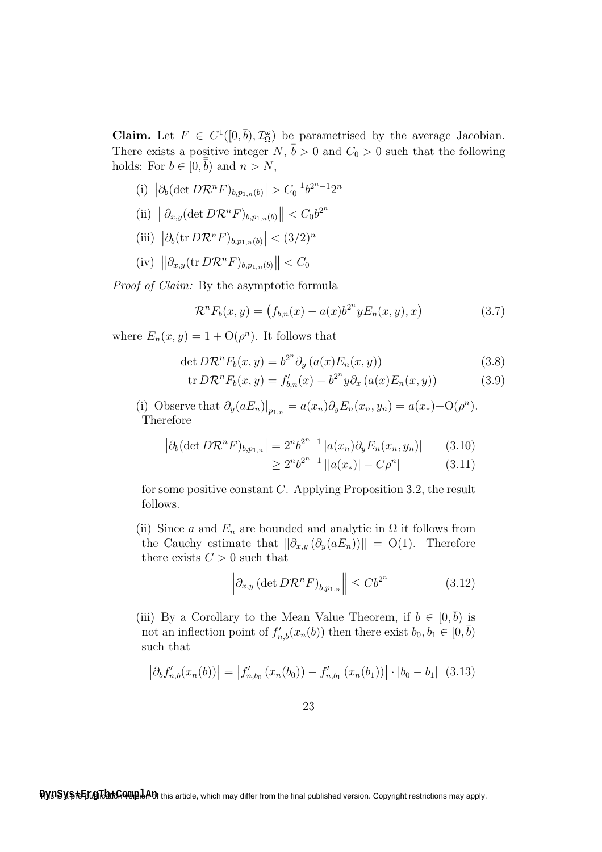**Claim.** Let  $F \in C^1([0,\bar{b}), \mathcal{I}_{\Omega}^{\omega})$  be parametrised by the average Jacobian. There exists a positive integer  $N, \bar{b} > 0$  and  $C_0 > 0$  such that the following holds: For  $b \in [0, \bar{b})$  and  $n > N$ ,

- (i)  $|\partial_b(\det D\mathcal{R}^n F)_{b,p_{1,n}(b)}| > C_0^{-1} b^{2^n-1} 2^n$
- (ii)  $\left\|\partial_{x,y}(\det D{\cal R}^nF)_{b,p_{1,n}(b)}\right\| < C_0b^{2^n}$
- (iii)  $|\partial_b(\text{tr }D\mathcal{R}^n F)_{b,p_{1,n}(b)}| < (3/2)^n$
- (iv)  $\left\|\partial_{x,y}(\operatorname{tr} D \mathcal{R}^n F)_{b,p_{1,n}(b)}\right\| < C_0$

Proof of Claim: By the asymptotic formula

$$
\mathcal{R}^n F_b(x, y) = (f_{b,n}(x) - a(x)b^{2^n} y E_n(x, y), x)
$$
\n(3.7)

where  $E_n(x, y) = 1 + \mathcal{O}(\rho^n)$ . It follows that

$$
\det D\mathcal{R}^n F_b(x, y) = b^{2^n} \partial_y (a(x) E_n(x, y)) \tag{3.8}
$$

$$
\text{tr } D\mathcal{R}^n F_b(x, y) = f'_{b,n}(x) - b^{2^n} y \partial_x (a(x) E_n(x, y)) \tag{3.9}
$$

(i) Observe that  $\partial_y(aE_n)|_{p_{1,n}} = a(x_n)\partial_y E_n(x_n, y_n) = a(x_*)+O(\rho^n)$ . Therefore

$$
\left| \partial_b (\det D \mathcal{R}^n F)_{b, p_{1,n}} \right| = 2^n b^{2^n - 1} \left| a(x_n) \partial_y E_n(x_n, y_n) \right| \tag{3.10}
$$

$$
\geq 2^n b^{2^n - 1} ||a(x_*)| - C\rho^n| \tag{3.11}
$$

for some positive constant C. Applying Proposition 3.2, the result follows.

(ii) Since a and  $E_n$  are bounded and analytic in  $\Omega$  it follows from the Cauchy estimate that  $\|\partial_{x,y} (\partial_y(aE_n))\| = O(1)$ . Therefore there exists  $C > 0$  such that

$$
\left\| \partial_{x,y} \left( \det D \mathcal{R}^n F \right)_{b,p_{1,n}} \right\| \le C b^{2^n} \tag{3.12}
$$

(iii) By a Corollary to the Mean Value Theorem, if  $b \in [0, \bar{b})$  is not an inflection point of  $f'_{n,b}(x_n(b))$  then there exist  $b_0, b_1 \in [0, \bar{b})$ such that

$$
\left| \partial_b f'_{n,b}(x_n(b)) \right| = \left| f'_{n,b_0}(x_n(b_0)) - f'_{n,b_1}(x_n(b_1)) \right| \cdot |b_0 - b_1| \tag{3.13}
$$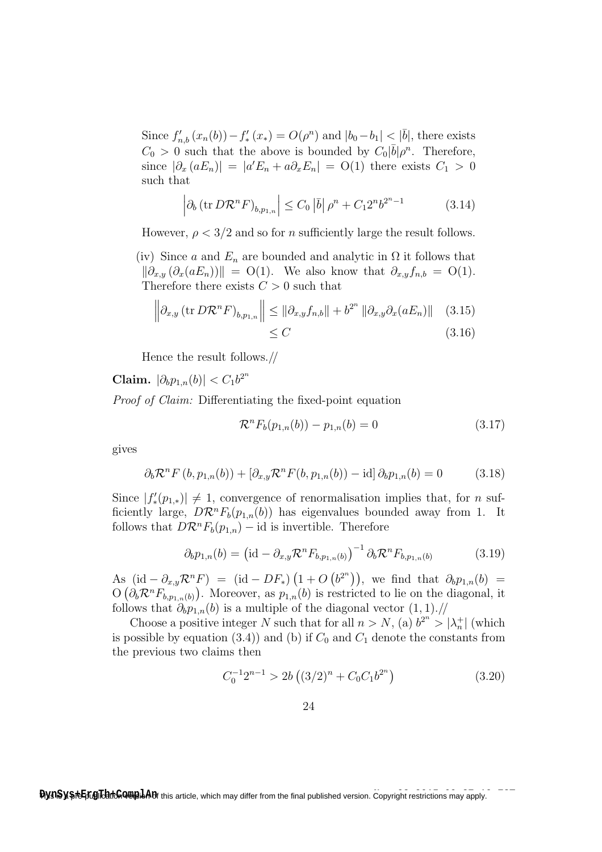Since  $f'_{n,b}(x_n(b)) - f'_*(x_*) = O(\rho^n)$  and  $|b_0 - b_1| < |\bar{b}|$ , there exists  $C_0 > 0$  such that the above is bounded by  $C_0|\bar{b}| \rho^n$ . Therefore, since  $|\partial_x(aE_n)| = |a'E_n + a\partial_x E_n| = O(1)$  there exists  $C_1 > 0$ such that

$$
\left| \partial_b \left( \text{tr} \, D \mathcal{R}^n F \right)_{b, p_{1, n}} \right| \le C_0 \left| \bar{b} \right| \rho^n + C_1 2^n b^{2^n - 1} \tag{3.14}
$$

However,  $\rho < 3/2$  and so for *n* sufficiently large the result follows.

(iv) Since a and  $E_n$  are bounded and analytic in  $\Omega$  it follows that  $\|\partial_{x,y} (\partial_x(aE_n))\| = \mathrm{O}(1)$ . We also know that  $\partial_{x,y} f_{n,b} = \mathrm{O}(1)$ . Therefore there exists  $C > 0$  such that

$$
\left\| \partial_{x,y} \left( \text{tr } D \mathcal{R}^n F \right)_{b,p_{1,n}} \right\| \leq \left\| \partial_{x,y} f_{n,b} \right\| + b^{2^n} \left\| \partial_{x,y} \partial_x (a E_n) \right\| \quad (3.15)
$$

$$
\leq C \quad (3.16)
$$

Hence the result follows.//

Claim.  $|\partial_b p_{1,n}(b)| < C_1 b^{2^n}$ 

Proof of Claim: Differentiating the fixed-point equation

$$
\mathcal{R}^n F_b(p_{1,n}(b)) - p_{1,n}(b) = 0 \tag{3.17}
$$

gives

$$
\partial_b \mathcal{R}^n F(b, p_{1,n}(b)) + [\partial_{x,y} \mathcal{R}^n F(b, p_{1,n}(b)) - id] \partial_b p_{1,n}(b) = 0 \tag{3.18}
$$

Since  $|f'_*(p_{1,*})| \neq 1$ , convergence of renormalisation implies that, for *n* sufficiently large,  $D\mathcal{R}^n F_b(p_{1,n}(b))$  has eigenvalues bounded away from 1. It follows that  $D\mathcal{R}^n F_b(p_{1,n})$  – id is invertible. Therefore

$$
\partial_b p_{1,n}(b) = \left(\text{id} - \partial_{x,y} \mathcal{R}^n F_{b,p_{1,n}(b)}\right)^{-1} \partial_b \mathcal{R}^n F_{b,p_{1,n}(b)} \tag{3.19}
$$

As  $(\mathrm{id} - \partial_{x,y} \mathcal{R}^n F) = (\mathrm{id} - DF_*) (1 + O(b^{2^n})),$  we find that  $\partial_b p_{1,n}(b) =$  $\mathrm{O}\left(\partial_b \mathcal{R}^n F_{b,p_{1,n}(b)}\right)$ . Moreover, as  $p_{1,n}(b)$  is restricted to lie on the diagonal, it follows that  $\partial_b p_{1,n}(b)$  is a multiple of the diagonal vector  $(1, 1)$ .//

Choose a positive integer N such that for all  $n > N$ , (a)  $b^{2n} > |\lambda_n^+|$  (which is possible by equation (3.4)) and (b) if  $C_0$  and  $C_1$  denote the constants from the previous two claims then

$$
C_0^{-1}2^{n-1} > 2b\left((3/2)^n + C_0C_1b^{2^n}\right) \tag{3.20}
$$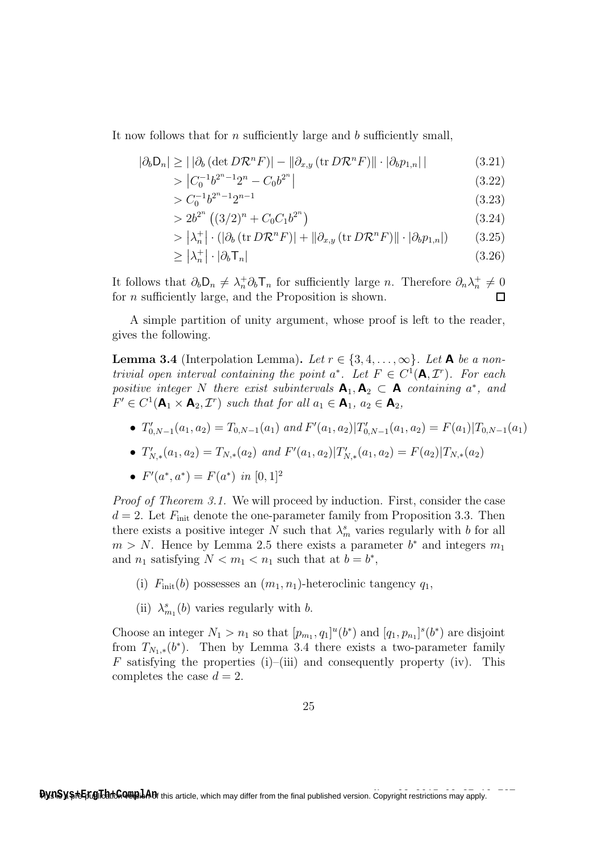It now follows that for *n* sufficiently large and *b* sufficiently small,

$$
|\partial_b \mathsf{D}_n| \ge ||\partial_b (\det D \mathcal{R}^n F)| - ||\partial_{x,y} (\operatorname{tr} D \mathcal{R}^n F)|| \cdot |\partial_b p_{1,n}|
$$
 (3.21)

$$
> \left| C_0^{-1} b^{2^n - 1} 2^n - C_0 b^{2^n} \right| \tag{3.22}
$$

$$
> C_0^{-1} b^{2^n - 1} 2^{n-1}
$$
\n
$$
(3.23)
$$

$$
>2b^{2^n} \left( (3/2)^n + C_0 C_1 b^{2^n} \right) \tag{3.24}
$$

$$
> |\lambda_n^+| \cdot (|\partial_b (\text{tr } D\mathcal{R}^n F)| + ||\partial_{x,y} (\text{tr } D\mathcal{R}^n F)|| \cdot |\partial_b p_{1,n}|) \tag{3.25}
$$

$$
\geq |\lambda_n^+| \cdot |\partial_b \mathsf{T}_n| \tag{3.26}
$$

It follows that  $\partial_b D_n \neq \lambda_n^+ \partial_b T_n$  for sufficiently large n. Therefore  $\partial_n \lambda_n^+ \neq 0$ for  $n$  sufficiently large, and the Proposition is shown. П

A simple partition of unity argument, whose proof is left to the reader, gives the following.

**Lemma 3.4** (Interpolation Lemma). Let  $r \in \{3, 4, \ldots, \infty\}$ . Let **A** be a nontrivial open interval containing the point  $a^*$ . Let  $F \in C^1(\mathbf{A}, \mathcal{I}^r)$ . For each positive integer N there exist subintervals  $A_1, A_2 \subset A$  containing  $a^*$ , and  $F' \in C^1(\mathbf{A}_1 \times \mathbf{A}_2, \mathcal{I}^r)$  such that for all  $a_1 \in \mathbf{A}_1$ ,  $a_2 \in \mathbf{A}_2$ ,

- $T'_{0,N-1}(a_1,a_2) = T_{0,N-1}(a_1)$  and  $F'(a_1,a_2)|T'_{0,N-1}(a_1,a_2) = F(a_1)|T_{0,N-1}(a_1)$
- $T'_{N,*}(a_1, a_2) = T_{N,*}(a_2)$  and  $F'(a_1, a_2)|T'_{N,*}(a_1, a_2) = F(a_2)|T_{N,*}(a_2)$
- $F'(a^*, a^*) = F(a^*)$  in  $[0, 1]^2$

Proof of Theorem 3.1. We will proceed by induction. First, consider the case  $d = 2$ . Let  $F_{\text{init}}$  denote the one-parameter family from Proposition 3.3. Then there exists a positive integer N such that  $\lambda_m^s$  varies regularly with b for all  $m > N$ . Hence by Lemma 2.5 there exists a parameter  $b^*$  and integers  $m_1$ and  $n_1$  satisfying  $N < m_1 < n_1$  such that at  $b = b^*$ ,

- (i)  $F_{\text{init}}(b)$  possesses an  $(m_1, n_1)$ -heteroclinic tangency  $q_1$ ,
- (ii)  $\lambda_{m_1}^s(b)$  varies regularly with b.

Choose an integer  $N_1 > n_1$  so that  $[p_{m_1}, q_1]^u(b^*)$  and  $[q_1, p_{n_1}]^s(b^*)$  are disjoint from  $T_{N_1,*}(b^*)$ . Then by Lemma 3.4 there exists a two-parameter family F satisfying the properties (i)–(iii) and consequently property (iv). This completes the case  $d = 2$ .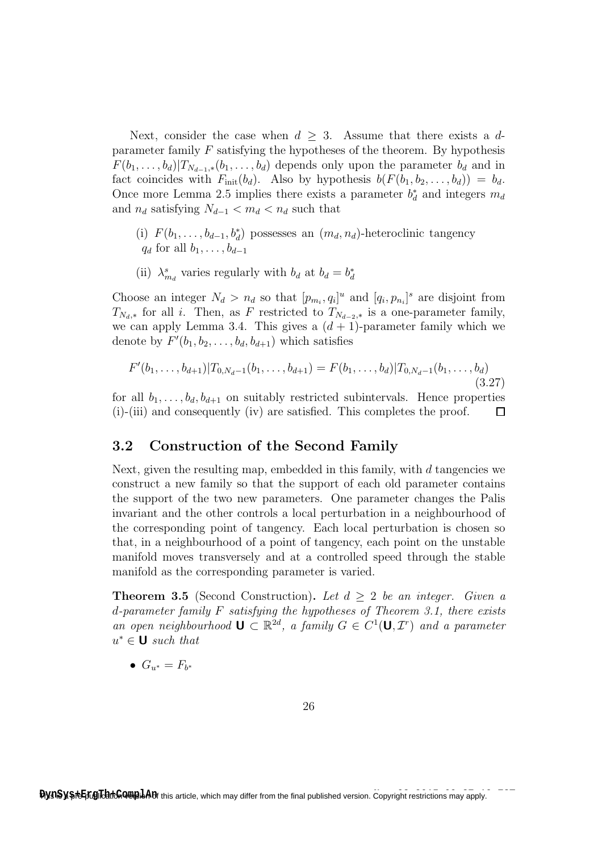Next, consider the case when  $d \geq 3$ . Assume that there exists a dparameter family  $F$  satisfying the hypotheses of the theorem. By hypothesis  $F(b_1, \ldots, b_d)|T_{N_{d-1},*}(b_1, \ldots, b_d)$  depends only upon the parameter  $b_d$  and in fact coincides with  $F_{\text{init}}(b_d)$ . Also by hypothesis  $b(F(b_1, b_2, \ldots, b_d)) = b_d$ . Once more Lemma 2.5 implies there exists a parameter  $b_d^*$  and integers  $m_d$ and  $n_d$  satisfying  $N_{d-1} < m_d < n_d$  such that

- (i)  $F(b_1, \ldots, b_{d-1}, b_d)$  possesses an  $(m_d, n_d)$ -heteroclinic tangency  $q_d$  for all  $b_1, \ldots, b_{d-1}$
- (ii)  $\lambda_{m_d}^s$  varies regularly with  $b_d$  at  $b_d = b_d^*$

Choose an integer  $N_d > n_d$  so that  $[p_{m_i}, q_i]^u$  and  $[q_i, p_{n_i}]^s$  are disjoint from  $T_{N_d,*}$  for all i. Then, as F restricted to  $T_{N_{d-2,*}}$  is a one-parameter family, we can apply Lemma 3.4. This gives a  $(d + 1)$ -parameter family which we denote by  $F'(b_1, b_2, \ldots, b_d, b_{d+1})$  which satisfies

$$
F'(b_1,\ldots,b_{d+1})|T_{0,N_d-1}(b_1,\ldots,b_{d+1})=F(b_1,\ldots,b_d)|T_{0,N_d-1}(b_1,\ldots,b_d)
$$
\n(3.27)

for all  $b_1, \ldots, b_d, b_{d+1}$  on suitably restricted subintervals. Hence properties (i)-(iii) and consequently (iv) are satisfied. This completes the proof.  $\Box$ 

### 3.2 Construction of the Second Family

Next, given the resulting map, embedded in this family, with  $d$  tangencies we construct a new family so that the support of each old parameter contains the support of the two new parameters. One parameter changes the Palis invariant and the other controls a local perturbation in a neighbourhood of the corresponding point of tangency. Each local perturbation is chosen so that, in a neighbourhood of a point of tangency, each point on the unstable manifold moves transversely and at a controlled speed through the stable manifold as the corresponding parameter is varied.

**Theorem 3.5** (Second Construction). Let  $d > 2$  be an integer. Given a d-parameter family  $F$  satisfying the hypotheses of Theorem 3.1, there exists an open neighbourhood  $\mathbf{U} \subset \mathbb{R}^{2d}$ , a family  $G \in C^1(\mathbf{U}, \mathcal{I}^r)$  and a parameter  $u^* \in \mathbf{U}$  such that

 $G_{u^*}=F_{b^*}$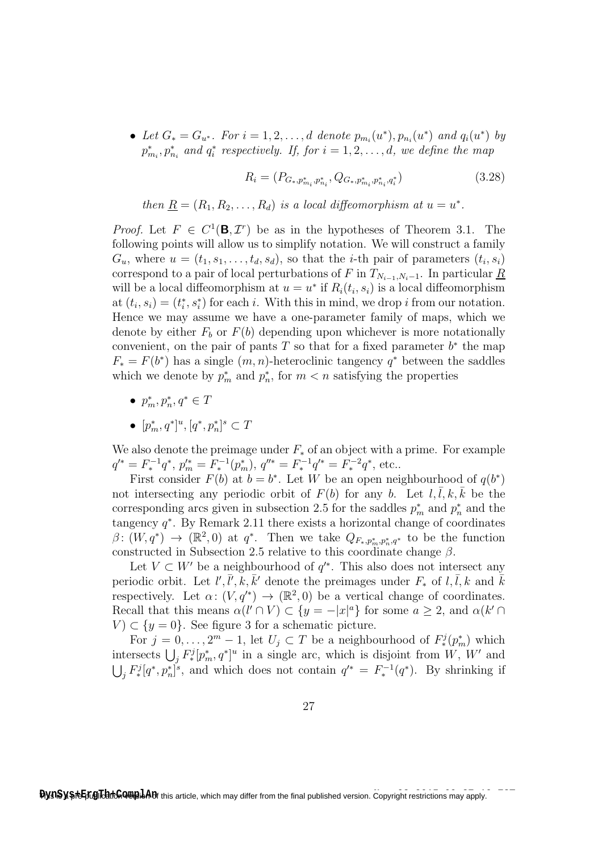• Let  $G_* = G_{u^*}$ . For  $i = 1, 2, ..., d$  denote  $p_{m_i}(u^*), p_{n_i}(u^*)$  and  $q_i(u^*)$  by  $p_{m_i}^*, p_{n_i}^*$  and  $q_i^*$  respectively. If, for  $i = 1, 2, \ldots, d$ , we define the map

$$
R_i = (P_{G_*,p_{m_i}^*,p_{n_i}^*}, Q_{G_*,p_{m_i}^*,p_{n_i}^*,q_i^*})
$$
\n(3.28)

then  $\underline{R} = (R_1, R_2, \ldots, R_d)$  is a local diffeomorphism at  $u = u^*$ .

*Proof.* Let  $F \in C^1(\mathbf{B}, \mathcal{I}^r)$  be as in the hypotheses of Theorem 3.1. The following points will allow us to simplify notation. We will construct a family  $G_u$ , where  $u = (t_1, s_1, \ldots, t_d, s_d)$ , so that the *i*-th pair of parameters  $(t_i, s_i)$ correspond to a pair of local perturbations of F in  $T_{N_{i-1},N_i-1}$ . In particular R will be a local diffeomorphism at  $u = u^*$  if  $R_i(t_i, s_i)$  is a local diffeomorphism at  $(t_i, s_i) = (t_i^*, s_i^*)$  for each i. With this in mind, we drop i from our notation. Hence we may assume we have a one-parameter family of maps, which we denote by either  $F_b$  or  $F(b)$  depending upon whichever is more notationally convenient, on the pair of pants  $T$  so that for a fixed parameter  $b^*$  the map  $F_* = F(b^*)$  has a single  $(m, n)$ -heteroclinic tangency  $q^*$  between the saddles which we denote by  $p_m^*$  and  $p_n^*$ , for  $m < n$  satisfying the properties

- $p_m^*, p_n^*, q^* \in T$
- $[p_m^*, q^*]^u$ ,  $[q^*, p_n^*]^s \subset T$

We also denote the preimage under  $F_*$  of an object with a prime. For example  $q'^* = F_*^{-1}q^*, p_m'^* = F_*^{-1}(p_m^*), q''^* = F_*^{-1}q'^* = F_*^{-2}q^*,$  etc..

First consider  $F(b)$  at  $b = b^*$ . Let W be an open neighbourhood of  $q(b^*)$ not intersecting any periodic orbit of  $F(b)$  for any b. Let  $l, l, k, k$  be the corresponding arcs given in subsection 2.5 for the saddles  $p_m^*$  and  $p_n^*$  and the tangency  $q^*$ . By Remark 2.11 there exists a horizontal change of coordinates  $\beta \colon (W, q^*) \to (\mathbb{R}^2, 0)$  at  $q^*$ . Then we take  $Q_{F_*,p_m^*,p_n^*,q^*}$  to be the function constructed in Subsection 2.5 relative to this coordinate change  $\beta$ .

Let  $V \subset W'$  be a neighbourhood of  $q'^*$ . This also does not intersect any periodic orbit. Let  $l', \bar{l}', k, \bar{k}'$  denote the preimages under  $F_*$  of  $l, \bar{l}, k$  and  $\bar{k}$ respectively. Let  $\alpha: (V, q'^*) \to (\mathbb{R}^2, 0)$  be a vertical change of coordinates. Recall that this means  $\alpha(l' \cap V) \subset \{y = -|x|^a\}$  for some  $a \geq 2$ , and  $\alpha(k' \cap V)$  $V \subset \{y=0\}$ . See figure 3 for a schematic picture.

For  $j = 0, \ldots, 2<sup>m</sup> - 1$ , let  $U_j \subset T$  be a neighbourhood of  $F^j_*(p_m^*)$  which intersects  $\bigcup_j F_*^j[p_m^*, q^*]^u$  in a single arc, which is disjoint from W, W' and  $\bigcup_j F_*^j[q^*,p_n^*]$ <sup>s</sup>, and which does not contain  $q'^* = F_*^{-1}(q^*)$ . By shrinking if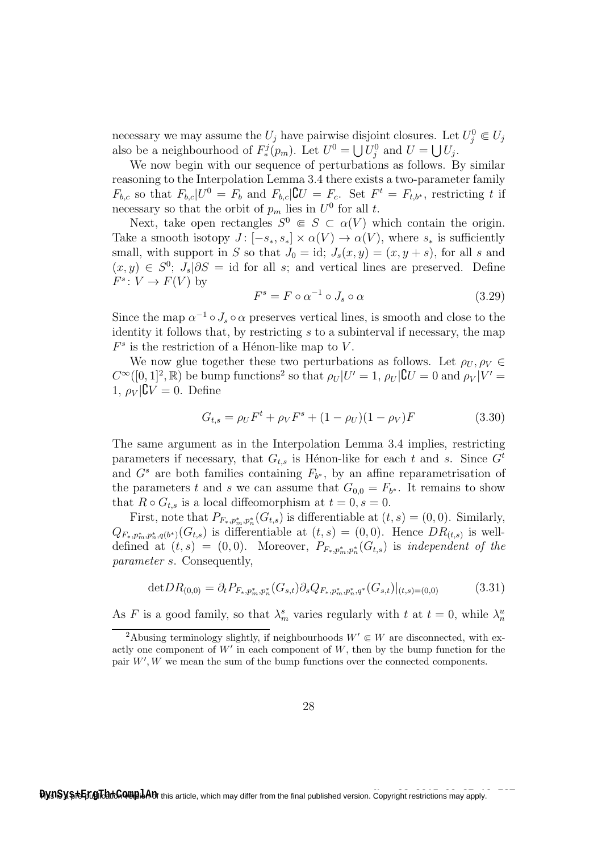necessary we may assume the  $U_j$  have pairwise disjoint closures. Let  $U_j^0 \in U_j$ also be a neighbourhood of  $F^j_*(p_m)$ . Let  $U^0 = \bigcup U^0_j$  and  $U = \bigcup U_j$ .

We now begin with our sequence of perturbations as follows. By similar reasoning to the Interpolation Lemma 3.4 there exists a two-parameter family  $F_{b,c}$  so that  $F_{b,c}|U^0 = F_b$  and  $F_{b,c}|\mathbf{C}U = F_c$ . Set  $F^t = F_{t,b^*}$ , restricting t if necessary so that the orbit of  $p_m$  lies in  $U^0$  for all t.

Next, take open rectangles  $S^0 \in S \subset \alpha(V)$  which contain the origin. Take a smooth isotopy  $J: [-s_*, s_*] \times \alpha(V) \rightarrow \alpha(V)$ , where  $s_*$  is sufficiently small, with support in S so that  $J_0 = id$ ;  $J_s(x, y) = (x, y + s)$ , for all s and  $(x, y) \in S^0$ ;  $J_s | \partial S = id$  for all s; and vertical lines are preserved. Define  $F^s\colon V\to F(V)$  by

$$
F^s = F \circ \alpha^{-1} \circ J_s \circ \alpha \tag{3.29}
$$

Since the map  $\alpha^{-1} \circ J_s \circ \alpha$  preserves vertical lines, is smooth and close to the identity it follows that, by restricting  $s$  to a subinterval if necessary, the map  $F<sup>s</sup>$  is the restriction of a Hénon-like map to V.

We now glue together these two perturbations as follows. Let  $\rho_U, \rho_V \in$  $C^{\infty}([0,1]^2,\mathbb{R})$  be bump functions<sup>2</sup> so that  $\rho_U|U'=1$ ,  $\rho_U|\mathbf{C}U=0$  and  $\rho_V|V'=0$ 1,  $\rho_V|\mathbf{C}V=0$ . Define

$$
G_{t,s} = \rho_U F^t + \rho_V F^s + (1 - \rho_U)(1 - \rho_V)F \tag{3.30}
$$

The same argument as in the Interpolation Lemma 3.4 implies, restricting parameters if necessary, that  $G_{t,s}$  is Hénon-like for each t and s. Since  $G^t$ and  $G^s$  are both families containing  $F_{b^*}$ , by an affine reparametrisation of the parameters t and s we can assume that  $G_{0,0} = F_{b^*}$ . It remains to show that  $R \circ G_{t,s}$  is a local diffeomorphism at  $t = 0, s = 0$ .

First, note that  $P_{F_*,p_m^*,p_n^*}(G_{t,s})$  is differentiable at  $(t,s) = (0,0)$ . Similarly,  $Q_{F_*,p_m^*,p_n^*,q(b^*)}(G_{t,s})$  is differentiable at  $(t,s) = (0,0)$ . Hence  $DR_{(t,s)}$  is welldefined at  $(t, s) = (0, 0)$ . Moreover,  $P_{F_*, p_m^*, p_n^*}(G_{t,s})$  is independent of the parameter s. Consequently,

$$
\det DR_{(0,0)} = \partial_t P_{F_*,p_m^*,p_n^*}(G_{s,t}) \partial_s Q_{F_*,p_m^*,p_n^*,q^*}(G_{s,t})|_{(t,s)=(0,0)} \tag{3.31}
$$

As F is a good family, so that  $\lambda_m^s$  varies regularly with t at  $t=0$ , while  $\lambda_n^u$ 

<sup>&</sup>lt;sup>2</sup>Abusing terminology slightly, if neighbourhoods  $W' \in W$  are disconnected, with exactly one component of  $W'$  in each component of  $W$ , then by the bump function for the pair  $W'$ ,  $W$  we mean the sum of the bump functions over the connected components.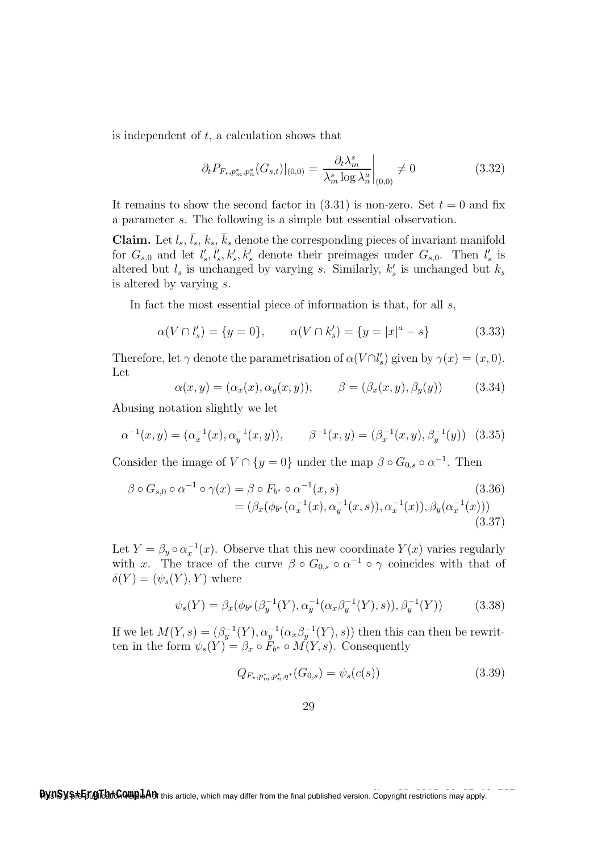is independent of  $t$ , a calculation shows that

$$
\partial_t P_{F_*,p_m^*,p_n^*}(G_{s,t})|_{(0,0)} = \frac{\partial_t \lambda_m^s}{\lambda_m^s \log \lambda_n^u} \bigg|_{(0,0)} \neq 0 \tag{3.32}
$$

It remains to show the second factor in  $(3.31)$  is non-zero. Set  $t = 0$  and fix a parameter s. The following is a simple but essential observation.

Claim. Let  $l_s$ ,  $\bar{l}_s$ ,  $k_s$ ,  $\bar{k}_s$  denote the corresponding pieces of invariant manifold for  $G_{s,0}$  and let  $l'_s, \bar{l}'_s, k'_s, \bar{k}'_s$  denote their preimages under  $G_{s,0}$ . Then  $l'_s$  is altered but  $l_s$  is unchanged by varying s. Similarly,  $k'_s$  is unchanged but  $k_s$ is altered by varying s.

In fact the most essential piece of information is that, for all s,

$$
\alpha(V \cap l'_s) = \{y = 0\}, \qquad \alpha(V \cap k'_s) = \{y = |x|^a - s\} \tag{3.33}
$$

Therefore, let  $\gamma$  denote the parametrisation of  $\alpha(V\cap l_s')$  given by  $\gamma(x)=(x,0)$ . Let

$$
\alpha(x, y) = (\alpha_x(x), \alpha_y(x, y)), \qquad \beta = (\beta_x(x, y), \beta_y(y)) \tag{3.34}
$$

Abusing notation slightly we let

$$
\alpha^{-1}(x, y) = (\alpha_x^{-1}(x), \alpha_y^{-1}(x, y)), \qquad \beta^{-1}(x, y) = (\beta_x^{-1}(x, y), \beta_y^{-1}(y))
$$
 (3.35)

Consider the image of  $V \cap \{y=0\}$  under the map  $\beta \circ G_{0,s} \circ \alpha^{-1}$ . Then

$$
\beta \circ G_{s,0} \circ \alpha^{-1} \circ \gamma(x) = \beta \circ F_{b^*} \circ \alpha^{-1}(x,s)
$$
\n
$$
= (\beta_x(\phi_{b^*}(\alpha_x^{-1}(x), \alpha_y^{-1}(x,s)), \alpha_x^{-1}(x)), \beta_y(\alpha_x^{-1}(x)))
$$
\n(3.36)\n(3.37)

Let  $Y = \beta_y \circ \alpha_x^{-1}(x)$ . Observe that this new coordinate  $Y(x)$  varies regularly with x. The trace of the curve  $\beta \circ G_{0,s} \circ \alpha^{-1} \circ \gamma$  coincides with that of  $\delta(Y) = (\psi_*(Y), Y)$  where

$$
\psi_s(Y) = \beta_x(\phi_{b^*}(\beta_y^{-1}(Y), \alpha_y^{-1}(\alpha_x \beta_y^{-1}(Y), s)), \beta_y^{-1}(Y))
$$
\n(3.38)

If we let  $M(Y, s) = (\beta_y^{-1}(Y), \alpha_y^{-1}(\alpha_x \beta_y^{-1}(Y), s))$  then this can then be rewritten in the form  $\psi_s(Y) = \beta_x \circ F_{b^*} \circ M(Y, s)$ . Consequently

$$
Q_{F_*,p_m^*,p_n^*,q^*}(G_{0,s}) = \psi_s(c(s))
$$
\n(3.39)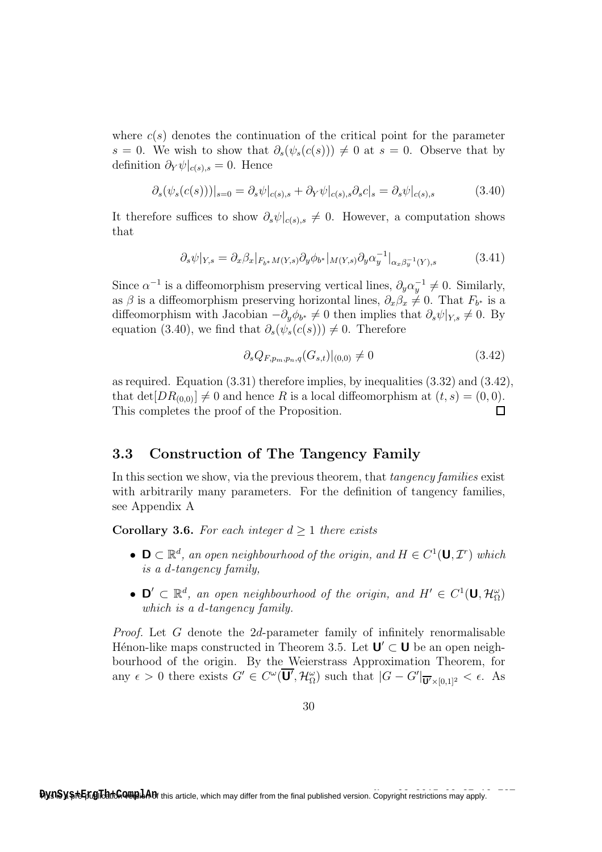where  $c(s)$  denotes the continuation of the critical point for the parameter s = 0. We wish to show that  $\partial_s(\psi_s(c(s))) \neq 0$  at s = 0. Observe that by definition  $\partial_Y \psi |_{c(s),s} = 0$ . Hence

$$
\partial_s(\psi_s(c(s)))|_{s=0} = \partial_s \psi|_{c(s),s} + \partial_Y \psi|_{c(s),s} \partial_s c|_s = \partial_s \psi|_{c(s),s} \tag{3.40}
$$

It therefore suffices to show  $\partial_s \psi|_{c(s),s} \neq 0$ . However, a computation shows that

$$
\partial_s \psi|_{Y,s} = \partial_x \beta_x|_{F_{b^*}M(Y,s)} \partial_y \phi_{b^*}|_{M(Y,s)} \partial_y \alpha_y^{-1}|_{\alpha_x \beta_y^{-1}(Y),s} \tag{3.41}
$$

Since  $\alpha^{-1}$  is a diffeomorphism preserving vertical lines,  $\partial_y \alpha_y^{-1} \neq 0$ . Similarly, as  $\beta$  is a diffeomorphism preserving horizontal lines,  $\partial_x \beta_x \neq 0$ . That  $F_{b^*}$  is a diffeomorphism with Jacobian  $-\partial_y \phi_{b^*} \neq 0$  then implies that  $\partial_s \psi|_{Y,s} \neq 0$ . By equation (3.40), we find that  $\partial_s(\psi_s(c(s))) \neq 0$ . Therefore

$$
\partial_s Q_{F,p_m,p_n,q}(G_{s,t})|_{(0,0)} \neq 0 \tag{3.42}
$$

as required. Equation (3.31) therefore implies, by inequalities (3.32) and (3.42), that  $\det[DR_{(0,0)}] \neq 0$  and hence R is a local diffeomorphism at  $(t, s) = (0, 0)$ .  $\Box$ This completes the proof of the Proposition.

## 3.3 Construction of The Tangency Family

In this section we show, via the previous theorem, that *tangency families* exist with arbitrarily many parameters. For the definition of tangency families, see Appendix A

**Corollary 3.6.** For each integer  $d > 1$  there exists

- $\mathsf{D} \subset \mathbb{R}^d$ , an open neighbourhood of the origin, and  $H \in C^1(\mathsf{U}, \mathcal{I}^r)$  which is a d-tangency family,
- $\mathbf{D}' \subset \mathbb{R}^d$ , an open neighbourhood of the origin, and  $H' \in C^1(\mathbf{U}, \mathcal{H}_\Omega^\omega)$ which is a d-tangency family.

Proof. Let G denote the 2d-parameter family of infinitely renormalisable Hénon-like maps constructed in Theorem 3.5. Let  $\mathbf{U}' \subset \mathbf{U}$  be an open neighbourhood of the origin. By the Weierstrass Approximation Theorem, for any  $\epsilon > 0$  there exists  $G' \in C^{\omega}(\overline{\mathbf{U}'}, \mathcal{H}_{\Omega}^{\omega})$  such that  $|G - G'|_{\overline{\mathbf{U}'} \times [0,1]^2} < \epsilon$ . As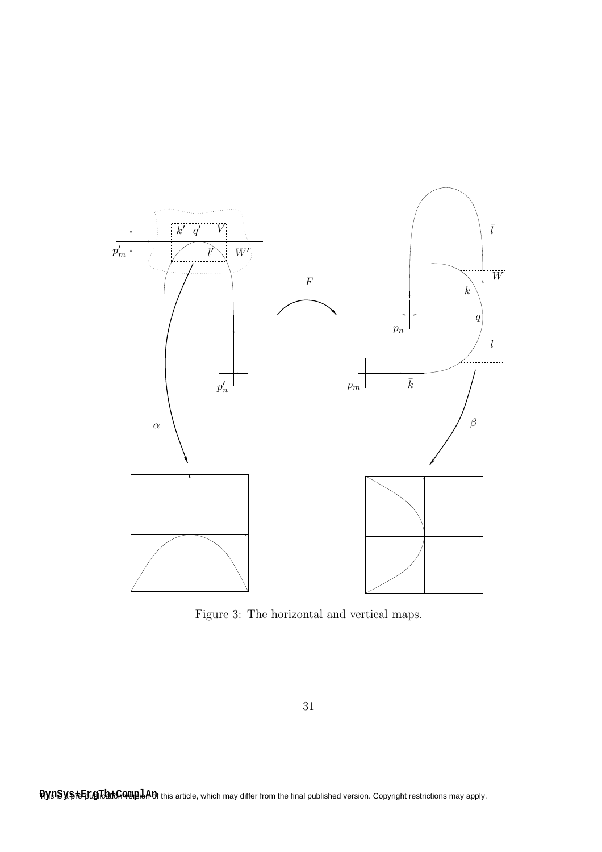

Figure 3: The horizontal and vertical maps.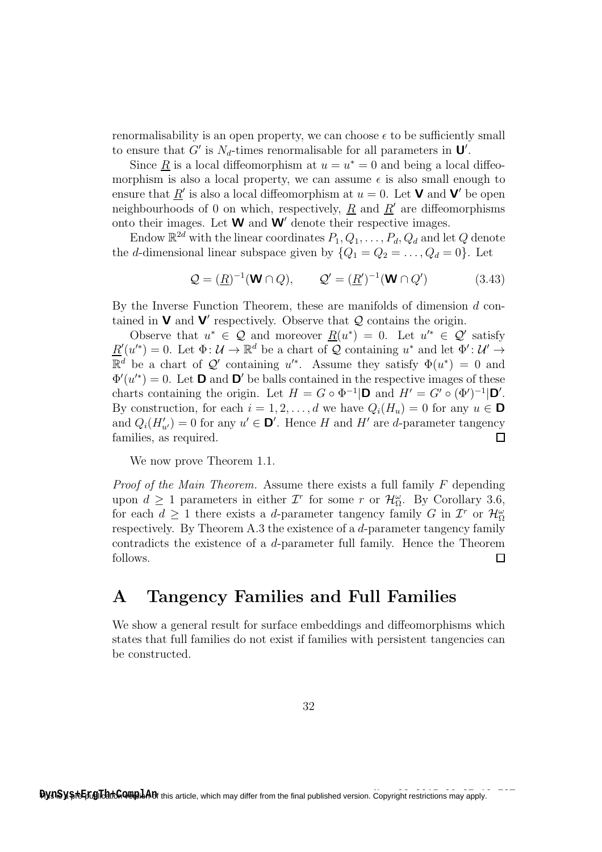renormalisability is an open property, we can choose  $\epsilon$  to be sufficiently small to ensure that G' is  $N_d$ -times renormalisable for all parameters in  $\mathbf{U}'$ .

Since  $\underline{R}$  is a local diffeomorphism at  $u = u^* = 0$  and being a local diffeomorphism is also a local property, we can assume  $\epsilon$  is also small enough to ensure that  $\underline{R}'$  is also a local diffeomorphism at  $u = 0$ . Let **V** and **V'** be open neighbourhoods of 0 on which, respectively,  $\underline{R}$  and  $\underline{R}'$  are diffeomorphisms onto their images. Let  $W$  and  $W'$  denote their respective images.

Endow  $\mathbb{R}^{2d}$  with the linear coordinates  $P_1, Q_1, \ldots, P_d, Q_d$  and let  $Q$  denote the d-dimensional linear subspace given by  $\{Q_1 = Q_2 = \ldots, Q_d = 0\}$ . Let

$$
\mathcal{Q} = (\underline{R})^{-1}(\mathbf{W} \cap Q), \qquad \mathcal{Q}' = (\underline{R}')^{-1}(\mathbf{W} \cap Q') \tag{3.43}
$$

By the Inverse Function Theorem, these are manifolds of dimension d contained in  $\mathbf V$  and  $\mathbf V'$  respectively. Observe that  $\mathcal Q$  contains the origin.

Observe that  $u^* \in \mathcal{Q}$  and moreover  $\underline{R}(u^*) = 0$ . Let  $u'^* \in \mathcal{Q}'$  satisfy  $\underline{R}'(u^{*}) = 0.$  Let  $\Phi: \mathcal{U} \to \mathbb{R}^{d}$  be a chart of  $\mathcal{Q}$  containing  $u^{*}$  and let  $\Phi': \mathcal{U}' \to$  $\mathbb{R}^d$  be a chart of  $\mathcal{Q}'$  containing u'\*. Assume they satisfy  $\Phi(u^*) = 0$  and  $\Phi'(u^{*}) = 0$ . Let **D** and **D'** be balls contained in the respective images of these charts containing the origin. Let  $H = G \circ \Phi^{-1} | \mathbf{D} \text{ and } H' = G' \circ (\Phi')^{-1} | \mathbf{D}'$ . By construction, for each  $i = 1, 2, ..., d$  we have  $Q_i(H_u) = 0$  for any  $u \in \mathbf{D}$ and  $Q_i(H'_{u'})=0$  for any  $u' \in \mathbf{D}'$ . Hence H and H' are d-parameter tangency families, as required.  $\Box$ 

We now prove Theorem 1.1.

*Proof of the Main Theorem.* Assume there exists a full family  $F$  depending upon  $d \geq 1$  parameters in either  $\mathcal{I}^r$  for some r or  $\mathcal{H}_{\Omega}^{\omega}$ . By Corollary 3.6, for each  $d \geq 1$  there exists a d-parameter tangency family G in  $\mathcal{I}^r$  or  $\mathcal{H}^{\omega}_{\Omega}$ respectively. By Theorem A.3 the existence of a d-parameter tangency family contradicts the existence of a d-parameter full family. Hence the Theorem follows.  $\Box$ 

## A Tangency Families and Full Families

We show a general result for surface embeddings and diffeomorphisms which states that full families do not exist if families with persistent tangencies can be constructed.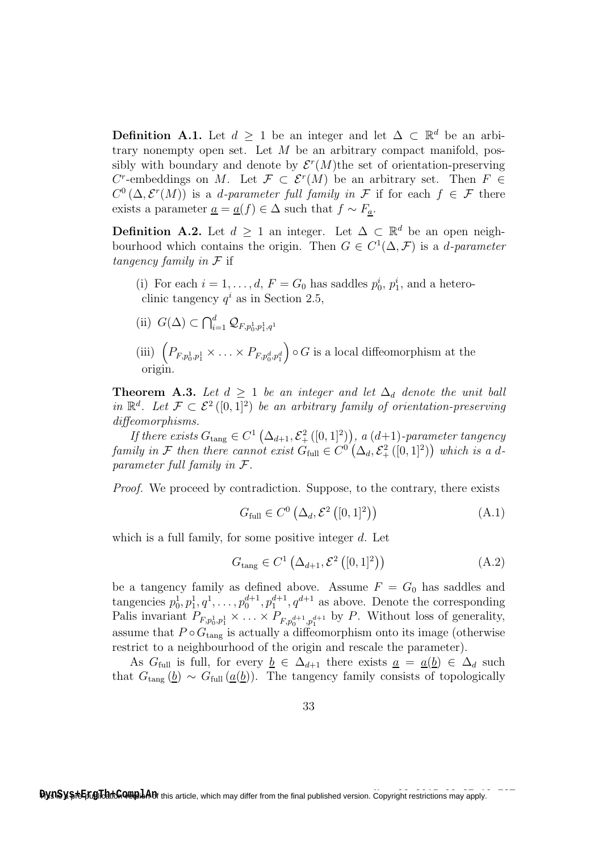**Definition A.1.** Let  $d \geq 1$  be an integer and let  $\Delta \subset \mathbb{R}^d$  be an arbitrary nonempty open set. Let  $M$  be an arbitrary compact manifold, possibly with boundary and denote by  $\mathcal{E}^r(M)$ the set of orientation-preserving C<sup>r</sup>-embeddings on M. Let  $\mathcal{F} \subset \mathcal{E}^r(M)$  be an arbitrary set. Then  $F \in$  $C^0(\Delta, \mathcal{E}^r(M))$  is a *d-parameter full family in* F if for each  $f \in \mathcal{F}$  there exists a parameter  $\underline{a} = \underline{a}(f) \in \Delta$  such that  $f \sim F_a$ .

**Definition A.2.** Let  $d \geq 1$  an integer. Let  $\Delta \subset \mathbb{R}^d$  be an open neighbourhood which contains the origin. Then  $G \in C^1(\Delta, \mathcal{F})$  is a *d-parameter* tangency family in  $\mathcal F$  if

- (i) For each  $i = 1, ..., d$ ,  $F = G_0$  has saddles  $p_0^i, p_1^i$ , and a heteroclinic tangency  $q^i$  as in Section 2.5,
- (ii)  $G(\Delta) \subset \bigcap_{i=1}^d \mathcal{Q}_{F,p_0^1,p_1^1,q^1}$
- (iii)  $\left( P_{F,p_0^1,p_1^1} \times \ldots \times P_{F,p_0^d,p_1^d} \right)$  $\bigcirc$  G is a local diffeomorphism at the origin.

**Theorem A.3.** Let  $d \geq 1$  be an integer and let  $\Delta_d$  denote the unit ball in  $\mathbb{R}^d$ . Let  $\mathcal{F} \subset \mathcal{E}^2([0,1]^2)$  be an arbitrary family of orientation-preserving diffeomorphisms.

If there exists  $G_{\text{tang}} \in C^{1}(\Delta_{d+1}, \mathcal{E}_{+}^{2}([0, 1]^{2}))$ , a  $(d+1)$ -parameter tangency family in F then there cannot exist  $G_{\text{full}} \in C^0(\Delta_d, \mathcal{E}_+^2([0,1]^2))$  which is a dparameter full family in F.

Proof. We proceed by contradiction. Suppose, to the contrary, there exists

$$
G_{\text{full}} \in C^0 \left( \Delta_d, \mathcal{E}^2 \left( [0, 1]^2 \right) \right) \tag{A.1}
$$

which is a full family, for some positive integer  $d$ . Let

$$
G_{\text{tang}} \in C^{1}\left(\Delta_{d+1}, \mathcal{E}^{2}\left([0,1]^{2}\right)\right) \tag{A.2}
$$

be a tangency family as defined above. Assume  $F = G_0$  has saddles and tangencies  $p_0^1, p_1^1, q^1, \ldots, p_0^{d+1}, p_1^{d+1}, q^{d+1}$  as above. Denote the corresponding Palis invariant  $P_{F,p_0^1,p_1^1} \times \ldots \times P_{F,p_0^{d+1},p_1^{d+1}}$  by P. Without loss of generality, assume that  $P \circ G_{\text{tang}}$  is actually a diffeomorphism onto its image (otherwise restrict to a neighbourhood of the origin and rescale the parameter).

As  $G_{\text{full}}$  is full, for every  $\underline{b} \in \Delta_{d+1}$  there exists  $\underline{a} = \underline{a}(\underline{b}) \in \Delta_d$  such that  $G_{\text{tang}}(\underline{b}) \sim G_{\text{full}}(\underline{a}(\underline{b}))$ . The tangency family consists of topologically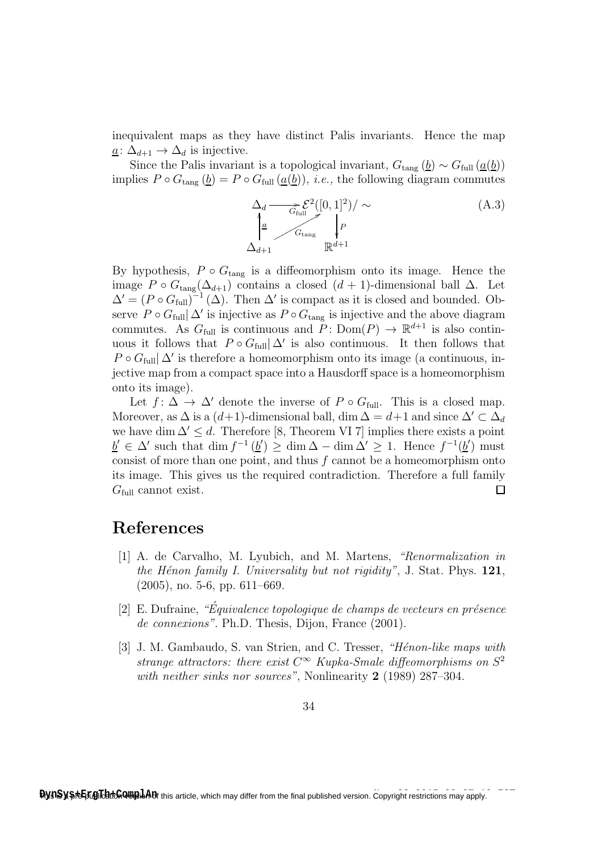inequivalent maps as they have distinct Palis invariants. Hence the map  $a: \Delta_{d+1} \to \Delta_d$  is injective.

Since the Palis invariant is a topological invariant,  $G_{\text{tang}}(\underline{b}) \sim G_{\text{full}}(\underline{a}(\underline{b}))$ implies  $P \circ G_{\text{tang}}(\underline{b}) = P \circ G_{\text{full}}(\underline{a}(\underline{b}))$ , *i.e.*, the following diagram commutes

> $\Delta_d \longrightarrow \mathcal{E}^2([0,1]^2)/\sim$ P ŗ  $\Delta_{d+1}$  $\frac{a}{a}$ OO  $G_{\text{full}}$   $G_{\text{tang}}$  $\mathbb{R}^{d+1}$ (A.3)

By hypothesis,  $P \circ G_{\text{tang}}$  is a diffeomorphism onto its image. Hence the image P ∘  $G_{\text{tang}}(\Delta_{d+1})$  contains a closed  $(d+1)$ -dimensional ball  $\Delta$ . Let  $\Delta' = (P \circ G_{\text{full}})^{-1} (\Delta)$ . Then  $\Delta'$  is compact as it is closed and bounded. Observe P ∘  $G_{\text{full}}|\Delta'$  is injective as P ∘  $G_{\text{tang}}$  is injective and the above diagram commutes. As  $G_{\text{full}}$  is continuous and  $P: \text{Dom}(P) \to \mathbb{R}^{d+1}$  is also continuous it follows that  $P \circ G_{\text{full}} | \Delta'$  is also continuous. It then follows that  $P \circ G_{\text{full}} \Delta'$  is therefore a homeomorphism onto its image (a continuous, injective map from a compact space into a Hausdorff space is a homeomorphism onto its image).

Let  $f: \Delta \to \Delta'$  denote the inverse of  $P \circ G_{\text{full}}$ . This is a closed map. Moreover, as  $\Delta$  is a  $(d+1)$ -dimensional ball, dim  $\Delta = d+1$  and since  $\Delta' \subset \Delta_d$ we have dim  $\Delta' \leq d$ . Therefore [8, Theorem VI 7] implies there exists a point  $\underline{b}' \in \Delta'$  such that dim  $f^{-1}(\underline{b}') \ge \dim \Delta - \dim \Delta' \ge 1$ . Hence  $f^{-1}(\underline{b}')$  must consist of more than one point, and thus f cannot be a homeomorphism onto its image. This gives us the required contradiction. Therefore a full family  $G_{\text{full}}$  cannot exist.  $\Box$ 

## References

- [1] A. de Carvalho, M. Lyubich, and M. Martens, "Renormalization in the Hénon family I. Universality but not rigidity", J. Stat. Phys.  $121$ , (2005), no. 5-6, pp. 611–669.
- $[2]$  E. Dufraine, "Équivalence topologique de champs de vecteurs en présence de connexions". Ph.D. Thesis, Dijon, France (2001).
- [3] J. M. Gambaudo, S. van Strien, and C. Tresser, "Hénon-like maps with strange attractors: there exist  $C^{\infty}$  Kupka-Smale diffeomorphisms on  $S^2$ with neither sinks nor sources", Nonlinearity 2 (1989) 287–304.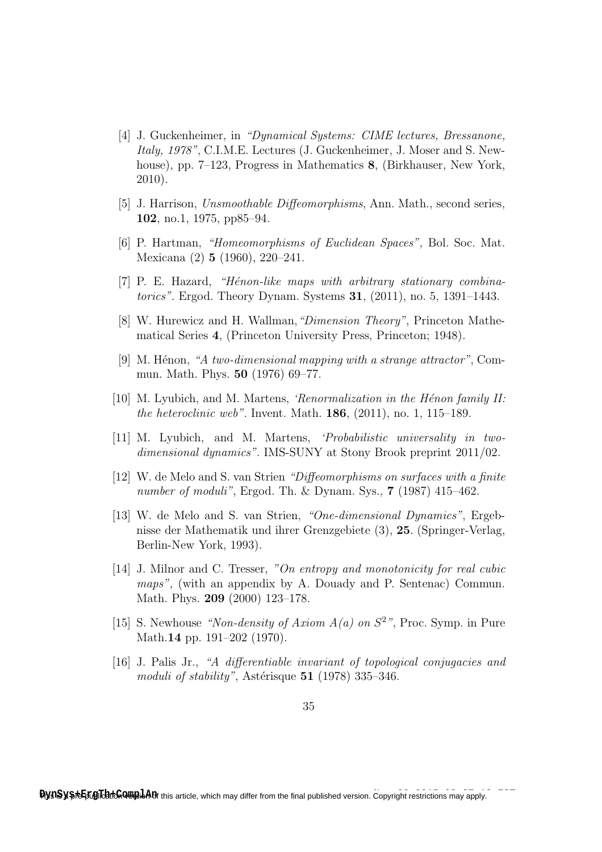- [4] J. Guckenheimer, in "Dynamical Systems: CIME lectures, Bressanone, Italy, 1978", C.I.M.E. Lectures (J. Guckenheimer, J. Moser and S. Newhouse), pp. 7–123, Progress in Mathematics 8, (Birkhauser, New York, 2010).
- [5] J. Harrison, Unsmoothable Diffeomorphisms, Ann. Math., second series, 102, no.1, 1975, pp85–94.
- [6] P. Hartman, "Homeomorphisms of Euclidean Spaces", Bol. Soc. Mat. Mexicana (2) 5 (1960), 220–241.
- [7] P. E. Hazard, "Hénon-like maps with arbitrary stationary combinatorics". Ergod. Theory Dynam. Systems 31, (2011), no. 5, 1391–1443.
- [8] W. Hurewicz and H. Wallman,"Dimension Theory", Princeton Mathematical Series 4, (Princeton University Press, Princeton; 1948).
- [9] M. Hénon, "A two-dimensional mapping with a strange attractor", Commun. Math. Phys. 50 (1976) 69–77.
- [10] M. Lyubich, and M. Martens, *'Renormalization in the Hénon family II:* the heteroclinic web". Invent. Math.  $186$ ,  $(2011)$ , no. 1, 115–189.
- [11] M. Lyubich, and M. Martens, 'Probabilistic universality in twodimensional dynamics". IMS-SUNY at Stony Brook preprint 2011/02.
- [12] W. de Melo and S. van Strien "Diffeomorphisms on surfaces with a finite number of moduli", Ergod. Th. & Dynam. Sys., **7** (1987) 415-462.
- [13] W. de Melo and S. van Strien, "One-dimensional Dynamics", Ergebnisse der Mathematik und ihrer Grenzgebiete (3), 25. (Springer-Verlag, Berlin-New York, 1993).
- [14] J. Milnor and C. Tresser, "On entropy and monotonicity for real cubic maps", (with an appendix by A. Douady and P. Sentenac) Commun. Math. Phys. 209 (2000) 123–178.
- [15] S. Newhouse "Non-density of Axiom  $A(a)$  on  $S^2$ ", Proc. Symp. in Pure Math.14 pp. 191–202 (1970).
- [16] J. Palis Jr., "A differentiable invariant of topological conjugacies and moduli of stability", Astérisque  $51$  (1978) 335–346.